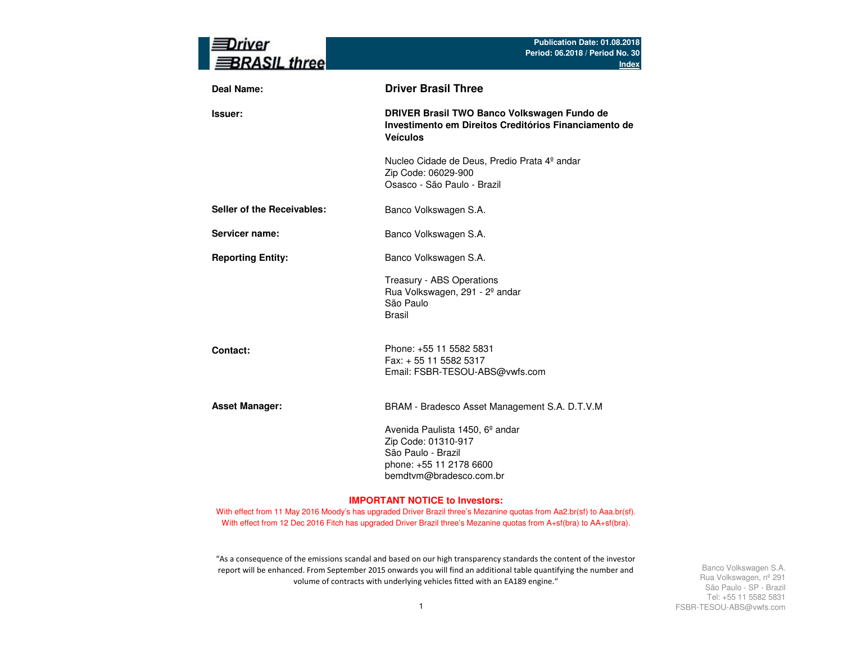| river<br><b>BRASIL three</b> | Publication Date: 01.08.2018<br>Period: 06.2018 / Period No. 30<br><b>Index</b>                                                                |
|------------------------------|------------------------------------------------------------------------------------------------------------------------------------------------|
| Deal Name:                   | <b>Driver Brasil Three</b>                                                                                                                     |
| <b>Issuer:</b>               | DRIVER Brasil TWO Banco Volkswagen Fundo de<br>Investimento em Direitos Creditórios Financiamento de<br><b>Veículos</b>                        |
|                              | Nucleo Cidade de Deus, Predio Prata 4º andar<br>Zip Code: 06029-900<br>Osasco - São Paulo - Brazil                                             |
| Seller of the Receivables:   | Banco Volkswagen S.A.                                                                                                                          |
| Servicer name:               | Banco Volkswagen S.A.                                                                                                                          |
| <b>Reporting Entity:</b>     | Banco Volkswagen S.A.                                                                                                                          |
|                              | Treasury - ABS Operations<br>Rua Volkswagen, 291 - 2º andar<br>São Paulo<br><b>Brasil</b>                                                      |
| Contact:                     | Phone: +55 11 5582 5831<br>Fax: + 55 11 5582 5317<br>Email: FSBR-TESOU-ABS@vwfs.com                                                            |
| <b>Asset Manager:</b>        | BRAM - Bradesco Asset Management S.A. D.T.V.M                                                                                                  |
|                              | Avenida Paulista 1450, 6 <sup>°</sup> andar<br>Zip Code: 01310-917<br>São Paulo - Brazil<br>phone: +55 11 2178 6600<br>bemdtvm@bradesco.com.br |

#### **IMPORTANT NOTICE to Investors:**

With effect from 11 May 2016 Moody's has upgraded Driver Brazil three's Mezanine quotas from Aa2.br(sf) to Aaa.br(sf). With effect from 12 Dec 2016 Fitch has upgraded Driver Brazil three's Mezanine quotas from A+sf(bra) to AA+sf(bra).

"As a consequence of the emissions scandal and based on our high transparency standards the content of the investor report will be enhanced. From September 2015 onwards you will find an additional table quantifying the number and volume of contracts with underlying vehicles fitted with an EA189 engine."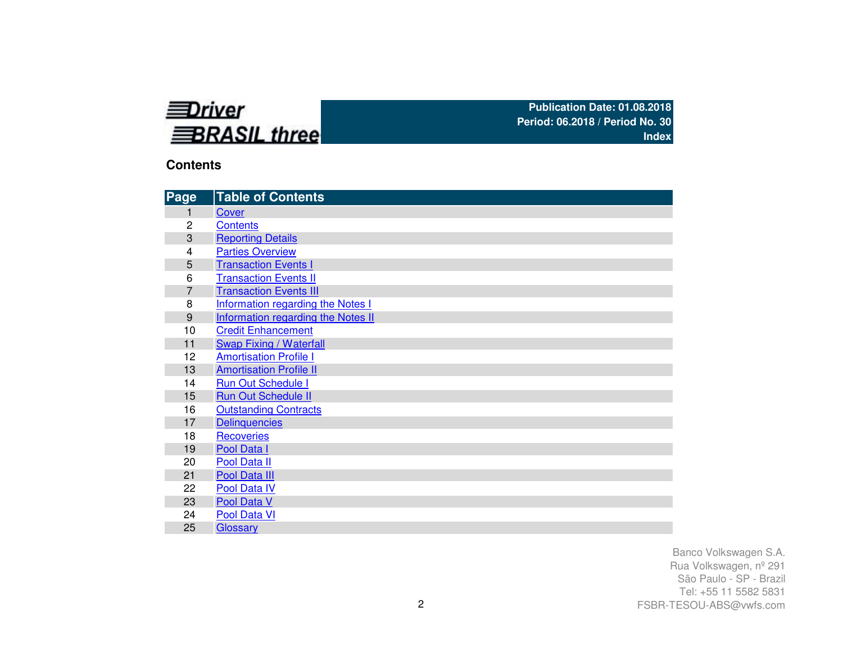

### **Contents**

| Page           | <b>Table of Contents</b>                 |
|----------------|------------------------------------------|
|                | Cover                                    |
| 2              | <b>Contents</b>                          |
| 3              | <b>Reporting Details</b>                 |
| 4              | <b>Parties Overview</b>                  |
| 5              | <b>Transaction Events I</b>              |
| 6              | <b>Transaction Events II</b>             |
| $\overline{7}$ | <b>Transaction Events III</b>            |
| 8              | <b>Information regarding the Notes I</b> |
| 9              | Information regarding the Notes II       |
| 10             | <b>Credit Enhancement</b>                |
| 11             | <b>Swap Fixing / Waterfall</b>           |
| 12             | <b>Amortisation Profile I</b>            |
| 13             | <b>Amortisation Profile II</b>           |
| 14             | <b>Run Out Schedule I</b>                |
| 15             | <b>Run Out Schedule II</b>               |
| 16             | <b>Outstanding Contracts</b>             |
| 17             | <b>Delinquencies</b>                     |
| 18             | <b>Recoveries</b>                        |
| 19             | Pool Data I                              |
| 20             | Pool Data II                             |
| 21             | Pool Data III                            |
| 22             | <b>Pool Data IV</b>                      |
| 23             | Pool Data V                              |
| 24             | Pool Data VI                             |
| 25             | Glossary                                 |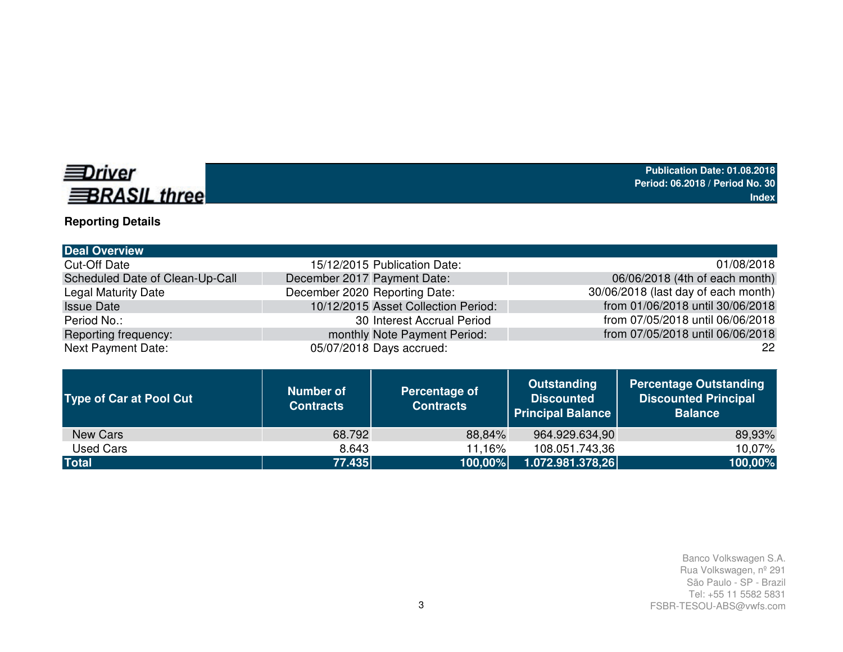# **EDriver BRASIL three**

**Reporting Details**

#### **Deal Overview**Cut-Off Date 15/12/2015 Publication Date: Scheduled Date of Clean-Up-CallI December 2017 Payment Date: Legal Maturity Date **December 2020** Reporting Date: Issue Date 10/12/2015 Asset Collection Period: Period No.: 30 Interest Accrual PeriodReporting frequency: which are all the monthly Note Payment Period: Next Payment Date: 05/07/2018 Days accrued: 01/08/2018 06/06/2018 (4th of each month)30/06/2018 (last day of each month) from 01/06/2018 until 30/06/2018 from 07/05/2018 until 06/06/2018from 07/05/2018 until 06/06/2018

| <b>Type of Car at Pool Cut</b> | <b>Number of</b><br><b>Contracts</b> | Percentage of<br><b>Contracts</b> | <b>Outstanding</b><br><b>Discounted</b><br><b>Principal Balance</b> | <b>Percentage Outstanding</b><br><b>Discounted Principal</b><br><b>Balance</b> |
|--------------------------------|--------------------------------------|-----------------------------------|---------------------------------------------------------------------|--------------------------------------------------------------------------------|
| New Cars                       | 68.792                               | 88,84%                            | 964.929.634,90                                                      | 89,93%                                                                         |
| Used Cars                      | 8.643                                | 11,16%                            | 108.051.743,36                                                      | 10,07%                                                                         |
| <b>Total</b>                   | 77.435                               | 100,00%                           | 1.072.981.378,26                                                    | 100,00%                                                                        |

22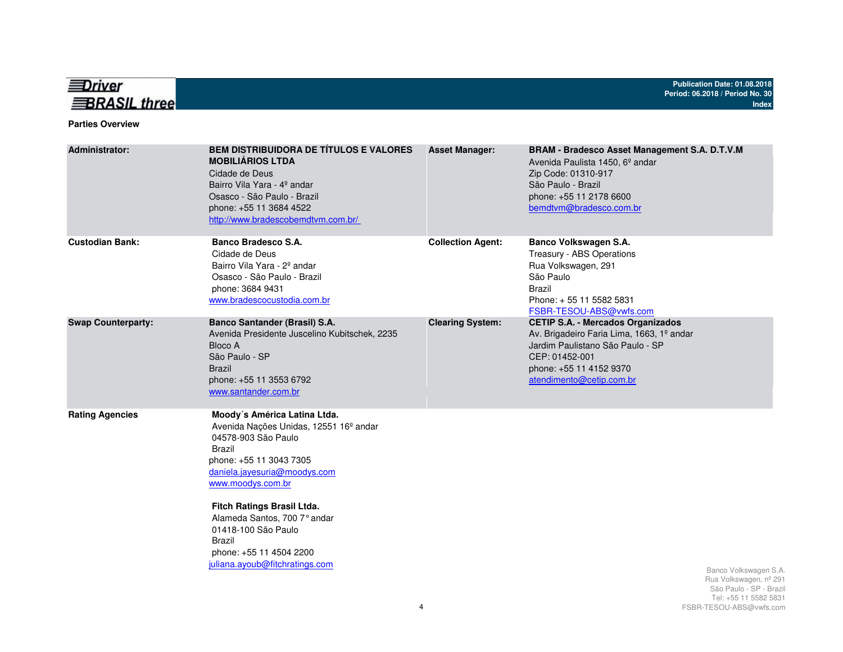

#### **Parties Overview**

| <b>Administrator:</b>     | <b>BEM DISTRIBUIDORA DE TÍTULOS E VALORES</b><br><b>MOBILIÁRIOS LTDA</b><br>Cidade de Deus<br>Bairro Vila Yara - 4º andar<br>Osasco - São Paulo - Brazil<br>phone: +55 11 3684 4522<br>http://www.bradescobemdtvm.com.br/                                                                                                                                              | <b>Asset Manager:</b>    | <b>BRAM - Bradesco Asset Management S.A. D.T.V.M</b><br>Avenida Paulista 1450, 6 <sup>°</sup> andar<br>Zip Code: 01310-917<br>São Paulo - Brazil<br>phone: +55 11 2178 6600<br>bemdtvm@bradesco.com.br |                                                                                                    |
|---------------------------|------------------------------------------------------------------------------------------------------------------------------------------------------------------------------------------------------------------------------------------------------------------------------------------------------------------------------------------------------------------------|--------------------------|--------------------------------------------------------------------------------------------------------------------------------------------------------------------------------------------------------|----------------------------------------------------------------------------------------------------|
| <b>Custodian Bank:</b>    | Banco Bradesco S.A.<br>Cidade de Deus<br>Bairro Vila Yara - 2 <sup>°</sup> andar<br>Osasco - São Paulo - Brazil<br>phone: 3684 9431<br>www.bradescocustodia.com.br                                                                                                                                                                                                     | <b>Collection Agent:</b> | Banco Volkswagen S.A.<br>Treasury - ABS Operations<br>Rua Volkswagen, 291<br>São Paulo<br><b>Brazil</b><br>Phone: +55 11 5582 5831<br>FSBR-TESOU-ABS@vwfs.com                                          |                                                                                                    |
| <b>Swap Counterparty:</b> | <b>Banco Santander (Brasil) S.A.</b><br>Avenida Presidente Juscelino Kubitschek, 2235<br>Bloco A<br>São Paulo - SP<br><b>Brazil</b><br>phone: +55 11 3553 6792<br>www.santander.com.br                                                                                                                                                                                 | <b>Clearing System:</b>  | <b>CETIP S.A. - Mercados Organizados</b><br>Av. Brigadeiro Faria Lima, 1663, 1º andar<br>Jardim Paulistano São Paulo - SP<br>CEP: 01452-001<br>phone: +55 11 4152 9370<br>atendimento@cetip.com.br     |                                                                                                    |
| <b>Rating Agencies</b>    | Moody's América Latina Ltda.<br>Avenida Nações Unidas, 12551 16 <sup>°</sup> andar<br>04578-903 São Paulo<br><b>Brazil</b><br>phone: +55 11 3043 7305<br>daniela.jayesuria@moodys.com<br>www.moodys.com.br<br>Fitch Ratings Brasil Ltda.<br>Alameda Santos, 700 7° andar<br>01418-100 São Paulo<br>Brazil<br>phone: +55 11 4504 2200<br>juliana.ayoub@fitchratings.com |                          |                                                                                                                                                                                                        | Banco Volkswagen S.A.<br>Rua Volkswagen, nº 291<br>São Paulo - SP - Brazil<br>Tel: 55 11 5582 5831 |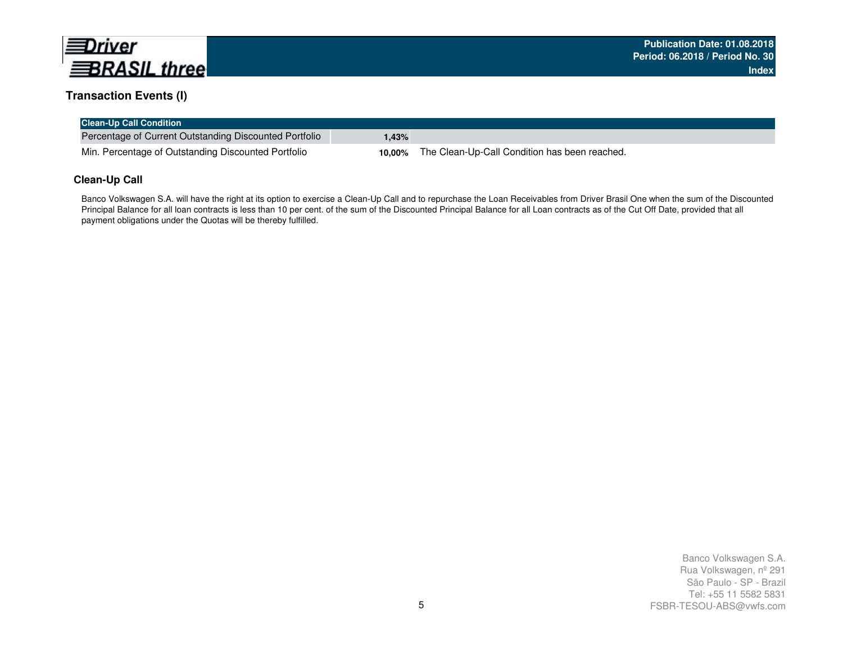

#### **Transaction Events (I)**

| <b>Clean-Up Call Condition</b>                         |        |                                               |
|--------------------------------------------------------|--------|-----------------------------------------------|
| Percentage of Current Outstanding Discounted Portfolio | .43%   |                                               |
| Min. Percentage of Outstanding Discounted Portfolio    | 10.00% | The Clean-Up-Call Condition has been reached. |

#### **Clean-Up Call**

Banco Volkswagen S.A. will have the right at its option to exercise a Clean-Up Call and to repurchase the Loan Receivables from Driver Brasil One when the sum of the Discounted Principal Balance for all loan contracts is less than 10 per cent. of the sum of the Discounted Principal Balance for all Loan contracts as of the Cut Off Date, provided that all payment obligations under the Quotas will be thereby fulfilled.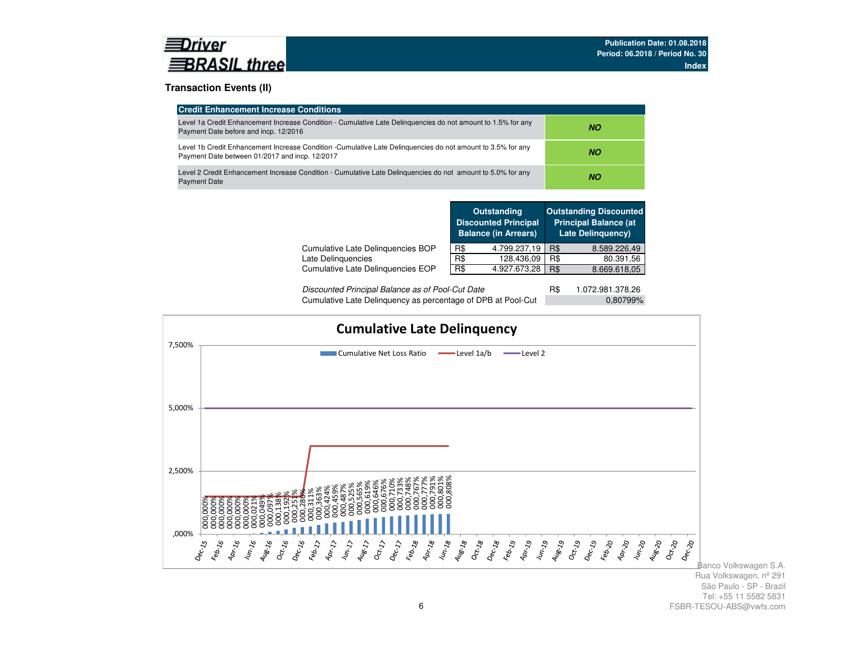

#### **Transaction Events (II)**

| <b>Credit Enhancement Increase Conditions</b>                                                                                                                 |     |  |  |  |
|---------------------------------------------------------------------------------------------------------------------------------------------------------------|-----|--|--|--|
| Level 1a Credit Enhancement Increase Condition - Cumulative Late Delinguencies do not amount to 1.5% for any<br>Payment Date before and incp. 12/2016         | NO. |  |  |  |
| Level 1b Credit Enhancement Increase Condition -Cumulative Late Delinguencies do not amount to 3.5% for any<br>Payment Date between 01/2017 and incp. 12/2017 | NO. |  |  |  |
| Level 2 Credit Enhancement Increase Condition - Cumulative Late Delinguencies do not amount to 5.0% for any<br><b>Payment Date</b>                            | NO. |  |  |  |

|                                   |     | <b>Outstanding</b><br><b>Discounted Principal</b><br><b>Balance (in Arrears)</b> |     | <b>Outstanding Discounted</b><br><b>Principal Balance (at</b><br><b>Late Delinguency)</b> |
|-----------------------------------|-----|----------------------------------------------------------------------------------|-----|-------------------------------------------------------------------------------------------|
| Cumulative Late Delinguencies BOP | R\$ | 4.799.237,19                                                                     | R\$ | 8.589.226,49                                                                              |
| Late Delinguencies                | R\$ | 128.436,09                                                                       | R\$ | 80.391,56                                                                                 |
| Cumulative Late Delinguencies EOP | R\$ | 4.927.673,28                                                                     | R\$ | 8.669.618,05                                                                              |
|                                   |     |                                                                                  |     |                                                                                           |

| Discounted Principal Balance as of Pool-Cut Date             | 1.072.981.378,26 |
|--------------------------------------------------------------|------------------|
| Cumulative Late Delinquency as percentage of DPB at Pool-Cut | 0,80799%         |

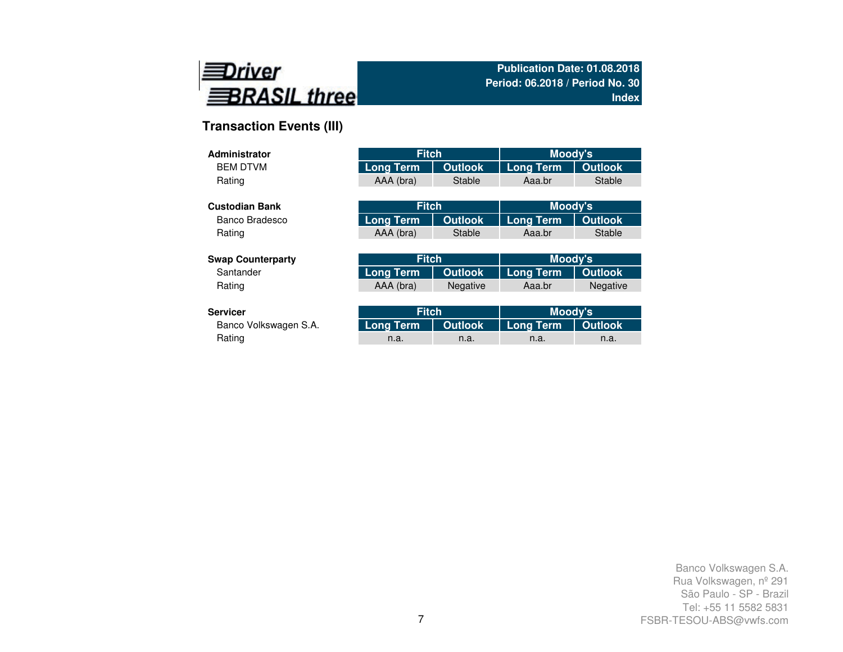

# **Transaction Events (III)**

| Administrator            | <b>Fitch</b>     |                 | Moody's          |                 |
|--------------------------|------------------|-----------------|------------------|-----------------|
| <b>BFM DTVM</b>          | <b>Long Term</b> | <b>Outlook</b>  | <b>Long Term</b> | <b>Outlook</b>  |
| Rating                   | AAA (bra)        | Stable          | Aaa.br           | Stable          |
|                          |                  |                 |                  |                 |
| <b>Custodian Bank</b>    | <b>Fitch</b>     |                 | Moody's          |                 |
| Banco Bradesco           | <b>Long Term</b> | <b>Outlook</b>  | <b>Long Term</b> | <b>Outlook</b>  |
| Rating                   | AAA (bra)        | Stable          | Aaa.br           | Stable          |
|                          |                  |                 |                  |                 |
| <b>Swap Counterparty</b> | <b>Fitch</b>     |                 | Moody's          |                 |
| Santander                | <b>Long Term</b> | <b>Outlook</b>  | <b>Long Term</b> | <b>Outlook</b>  |
| Rating                   | AAA (bra)        | <b>Negative</b> | Aaa.br           | <b>Negative</b> |
|                          |                  |                 |                  |                 |
| <b>Servicer</b>          | <b>Fitch</b>     |                 | Moody's          |                 |

| rvicer.<br><b>Fitch</b><br><b>MOODV'S</b>                          |      |
|--------------------------------------------------------------------|------|
| Long Term   Outlook   Long Term   Outlook<br>Banco Volkswagen S.A. |      |
| Rating<br>n.a.<br>n.a.<br>n.a.                                     | n.a. |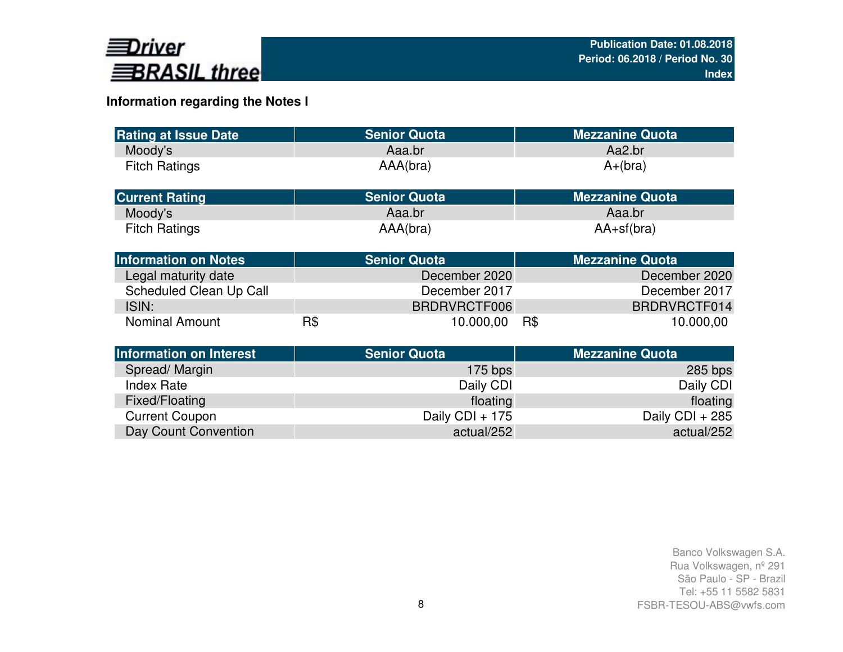

# **Information regarding the Notes I**

| <b>Rating at Issue Date</b>    |     | <b>Senior Quota</b> | <b>Mezzanine Quota</b> |
|--------------------------------|-----|---------------------|------------------------|
| Moody's                        |     | Aaa.br              | Aa2.br                 |
| <b>Fitch Ratings</b>           |     | AAA(bra)            | $A+(bra)$              |
| <b>Current Rating</b>          |     | <b>Senior Quota</b> | <b>Mezzanine Quota</b> |
| Moody's                        |     | Aaa.br              | Aaa.br                 |
| <b>Fitch Ratings</b>           |     | AAA(bra)            | $AA+sf(bra)$           |
| <b>Information on Notes</b>    |     | <b>Senior Quota</b> | <b>Mezzanine Quota</b> |
| Legal maturity date            |     | December 2020       | December 2020          |
| Scheduled Clean Up Call        |     | December 2017       | December 2017          |
| ISIN:                          |     | BRDRVRCTF006        | BRDRVRCTF014           |
| <b>Nominal Amount</b>          | R\$ | 10.000,00           | R\$<br>10.000,00       |
| <b>Information on Interest</b> |     | <b>Senior Quota</b> | <b>Mezzanine Quota</b> |
| Spread/Margin                  |     | $175$ bps           | $285$ bps              |
| <b>Index Rate</b>              |     | Daily CDI           | Daily CDI              |
| Fixed/Floating                 |     | floating            | floating               |
| <b>Current Coupon</b>          |     | Daily CDI + 175     | Daily CDI + 285        |
| Day Count Convention           |     | actual/252          | actual/252             |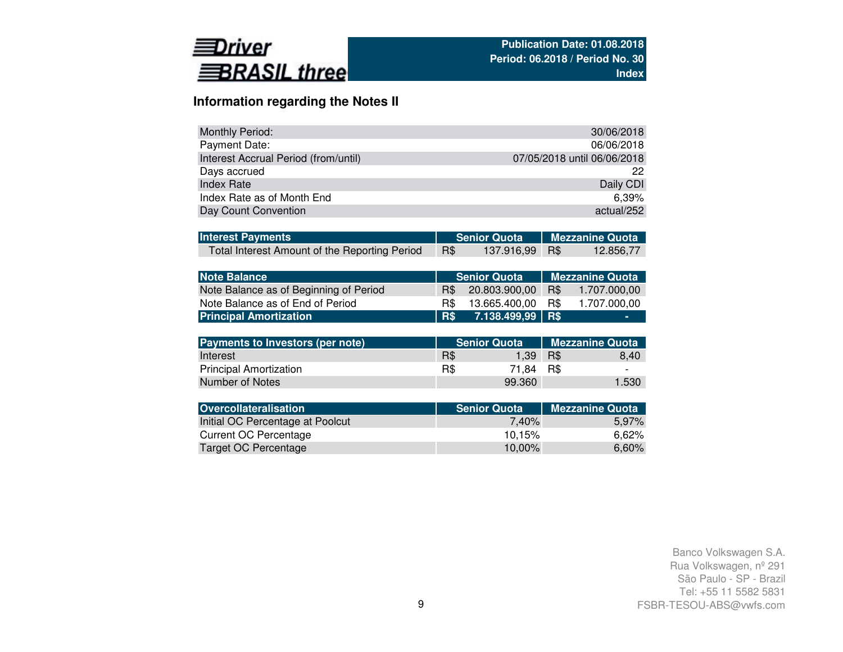

Number of Notes

### **Information regarding the Notes II**

| <b>Monthly Period:</b>               | 30/06/2018                  |
|--------------------------------------|-----------------------------|
| Payment Date:                        | 06/06/2018                  |
| Interest Accrual Period (from/until) | 07/05/2018 until 06/06/2018 |
| Days accrued                         | 22                          |
| Index Rate                           | Daily CDI                   |
| Index Rate as of Month End           | $6.39\%$                    |
| Day Count Convention                 | actual/252                  |

| <b>Interest Payments</b>                      |     |                | Senior Quota   Mezzanine Quota |           |  |  |
|-----------------------------------------------|-----|----------------|--------------------------------|-----------|--|--|
| Total Interest Amount of the Reporting Period | R\$ | 137.916,99 R\$ |                                | 12.856,77 |  |  |

| <b>Note Balance</b>                    |     | <b>Senior Quota</b> | <b>Mezzanine Quota</b> |                        |  |  |  |
|----------------------------------------|-----|---------------------|------------------------|------------------------|--|--|--|
| Note Balance as of Beginning of Period | R\$ | 20.803.900,00       | R\$                    | 1.707.000,00           |  |  |  |
| Note Balance as of End of Period       | R\$ | 13.665.400,00       | R\$                    | 1.707.000,00           |  |  |  |
| <b>Principal Amortization</b>          | R\$ | 7.138.499,99        | R\$                    |                        |  |  |  |
|                                        |     |                     |                        |                        |  |  |  |
| Payments to Investors (per note)       |     | <b>Senior Quota</b> |                        | <b>Mezzanine Quota</b> |  |  |  |
| Interest                               | R\$ | 1.39                | R\$                    | 8,40                   |  |  |  |
| <b>Principal Amortization</b>          | R\$ | 71.84               | R\$                    |                        |  |  |  |

| Number of Notes                  | 99.360              | 1.530                  |
|----------------------------------|---------------------|------------------------|
|                                  |                     |                        |
| <b>Overcollateralisation</b>     | <b>Senior Quota</b> | <b>Mezzanine Quota</b> |
| Initial OC Percentage at Poolcut | 7.40%               | 5,97%                  |
| Current OC Percentage            | 10.15%              | 6,62%                  |
| Target OC Percentage             | 10,00%              | 6,60%                  |
|                                  |                     |                        |

R\$ - 71,84 R\$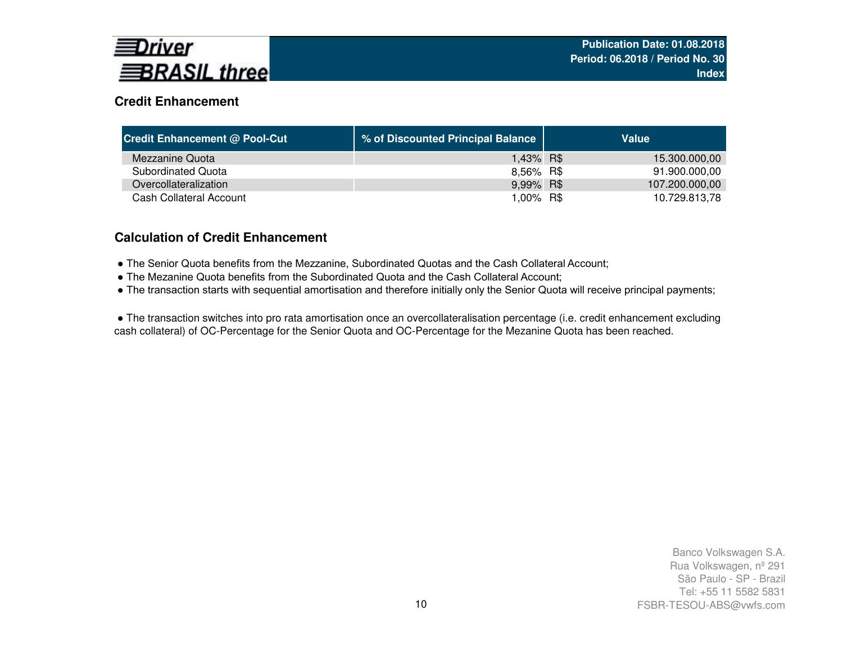

### **Credit Enhancement**

| <b>Credit Enhancement @ Pool-Cut</b> | % of Discounted Principal Balance | Value          |
|--------------------------------------|-----------------------------------|----------------|
| Mezzanine Quota                      | 1,43% R\$                         | 15.300.000,00  |
| Subordinated Quota                   | 8,56% R\$                         | 91.900.000,00  |
| Overcollateralization                | 9,99% R\$                         | 107.200.000,00 |
| Cash Collateral Account              | 1.00% R\$                         | 10.729.813,78  |

### **Calculation of Credit Enhancement**

- The Senior Quota benefits from the Mezzanine, Subordinated Quotas and the Cash Collateral Account;
- The Mezanine Quota benefits from the Subordinated Quota and the Cash Collateral Account;
- The transaction starts with sequential amortisation and therefore initially only the Senior Quota will receive principal payments;

● The transaction switches into pro rata amortisation once an overcollateralisation percentage (i.e. credit enhancement excluding cash collateral) of OC-Percentage for the Senior Quota and OC-Percentage for the Mezanine Quota has been reached.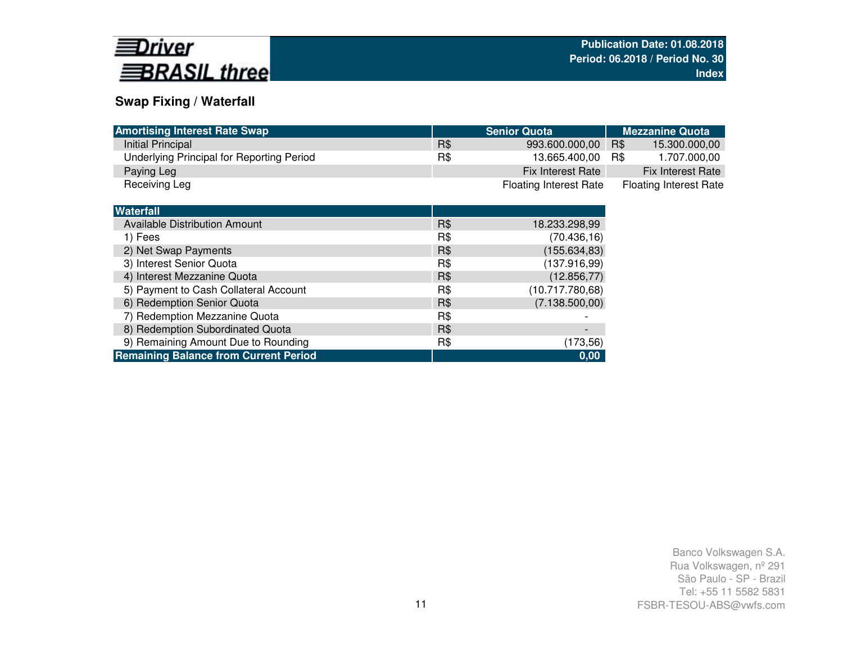

### **Swap Fixing / Waterfall**

| <b>Amortising Interest Rate Swap</b>         |     | <b>Senior Quota</b>           | <b>Mezzanine Quota</b>        |
|----------------------------------------------|-----|-------------------------------|-------------------------------|
| Initial Principal                            | R\$ | 993.600.000,00                | 15.300.000,00<br>R\$          |
| Underlying Principal for Reporting Period    | R\$ | 13.665.400,00                 | 1.707.000,00<br>R\$           |
| Paying Leg                                   |     | Fix Interest Rate             | Fix Interest Rate             |
| Receiving Leg                                |     | <b>Floating Interest Rate</b> | <b>Floating Interest Rate</b> |
|                                              |     |                               |                               |
| <b>Waterfall</b>                             |     |                               |                               |
| Available Distribution Amount                | R\$ | 18.233.298,99                 |                               |
| 1) Fees                                      | R\$ | (70.436, 16)                  |                               |
| 2) Net Swap Payments                         | R\$ | (155.634, 83)                 |                               |
| 3) Interest Senior Quota                     | R\$ | (137.916,99)                  |                               |
| 4) Interest Mezzanine Quota                  | R\$ | (12.856, 77)                  |                               |
| 5) Payment to Cash Collateral Account        | R\$ | (10.717.780,68)               |                               |
| 6) Redemption Senior Quota                   | R\$ | (7.138.500,00)                |                               |
| 7) Redemption Mezzanine Quota                | R\$ |                               |                               |
| 8) Redemption Subordinated Quota             | R\$ | $\qquad \qquad$               |                               |
| 9) Remaining Amount Due to Rounding          | R\$ | (173, 56)                     |                               |
| <b>Remaining Balance from Current Period</b> |     | 0,00                          |                               |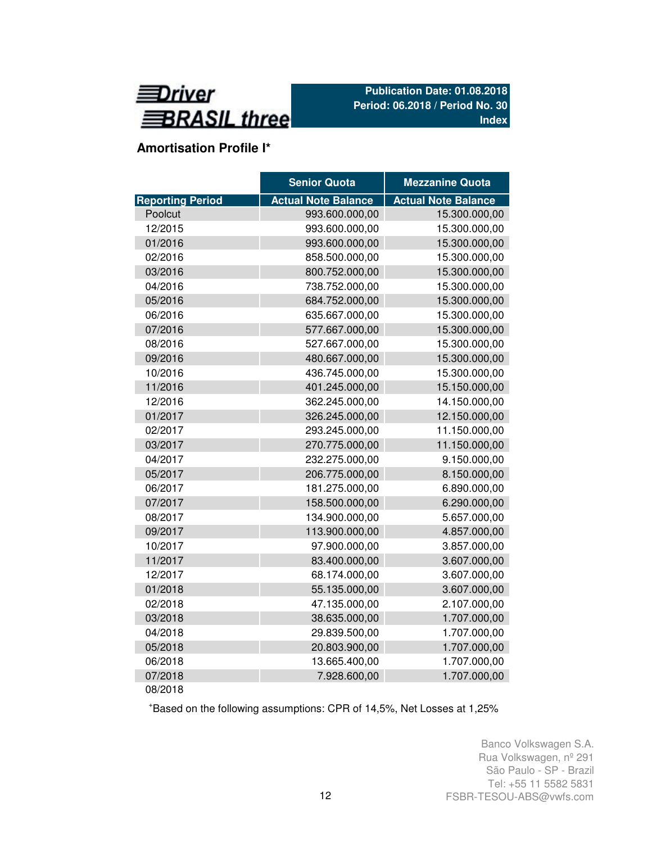

# **Amortisation Profile I\***

|                         | <b>Senior Quota</b>        | <b>Mezzanine Quota</b>     |
|-------------------------|----------------------------|----------------------------|
| <b>Reporting Period</b> | <b>Actual Note Balance</b> | <b>Actual Note Balance</b> |
| Poolcut                 | 993.600.000,00             | 15.300.000,00              |
| 12/2015                 | 993.600.000,00             | 15.300.000,00              |
| 01/2016                 | 993.600.000,00             | 15.300.000,00              |
| 02/2016                 | 858.500.000,00             | 15.300.000,00              |
| 03/2016                 | 800.752.000,00             | 15.300.000,00              |
| 04/2016                 | 738.752.000,00             | 15.300.000,00              |
| 05/2016                 | 684.752.000,00             | 15.300.000,00              |
| 06/2016                 | 635.667.000,00             | 15.300.000,00              |
| 07/2016                 | 577.667.000,00             | 15.300.000,00              |
| 08/2016                 | 527.667.000,00             | 15.300.000,00              |
| 09/2016                 | 480.667.000,00             | 15.300.000,00              |
| 10/2016                 | 436.745.000,00             | 15.300.000,00              |
| 11/2016                 | 401.245.000,00             | 15.150.000,00              |
| 12/2016                 | 362.245.000,00             | 14.150.000,00              |
| 01/2017                 | 326.245.000,00             | 12.150.000,00              |
| 02/2017                 | 293.245.000,00             | 11.150.000,00              |
| 03/2017                 | 270.775.000,00             | 11.150.000,00              |
| 04/2017                 | 232.275.000,00             | 9.150.000,00               |
| 05/2017                 | 206.775.000,00             | 8.150.000,00               |
| 06/2017                 | 181.275.000,00             | 6.890.000,00               |
| 07/2017                 | 158.500.000,00             | 6.290.000,00               |
| 08/2017                 | 134.900.000,00             | 5.657.000,00               |
| 09/2017                 | 113.900.000,00             | 4.857.000,00               |
| 10/2017                 | 97.900.000,00              | 3.857.000,00               |
| 11/2017                 | 83.400.000,00              | 3.607.000,00               |
| 12/2017                 | 68.174.000,00              | 3.607.000,00               |
| 01/2018                 | 55.135.000,00              | 3.607.000,00               |
| 02/2018                 | 47.135.000,00              | 2.107.000,00               |
| 03/2018                 | 38.635.000,00              | 1.707.000,00               |
| 04/2018                 | 29.839.500,00              | 1.707.000,00               |
| 05/2018                 | 20.803.900,00              | 1.707.000,00               |
| 06/2018                 | 13.665.400,00              | 1.707.000,00               |
| 07/2018                 | 7.928.600,00               | 1.707.000,00               |
| 08/2018                 |                            |                            |

<sup>+</sup>Based on the following assumptions: CPR of 14,5%, Net Losses at 1,25%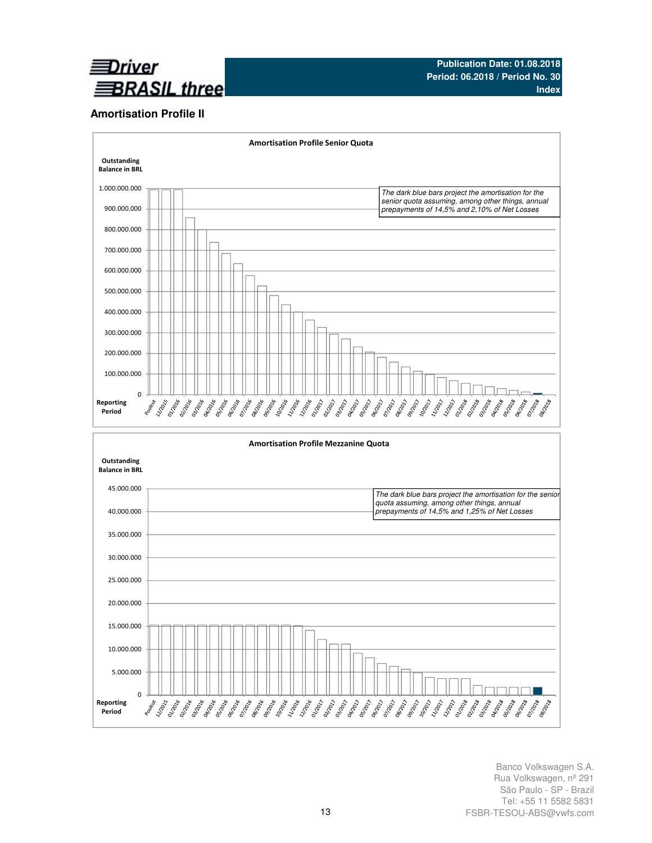

#### **Amortisation Profile II**

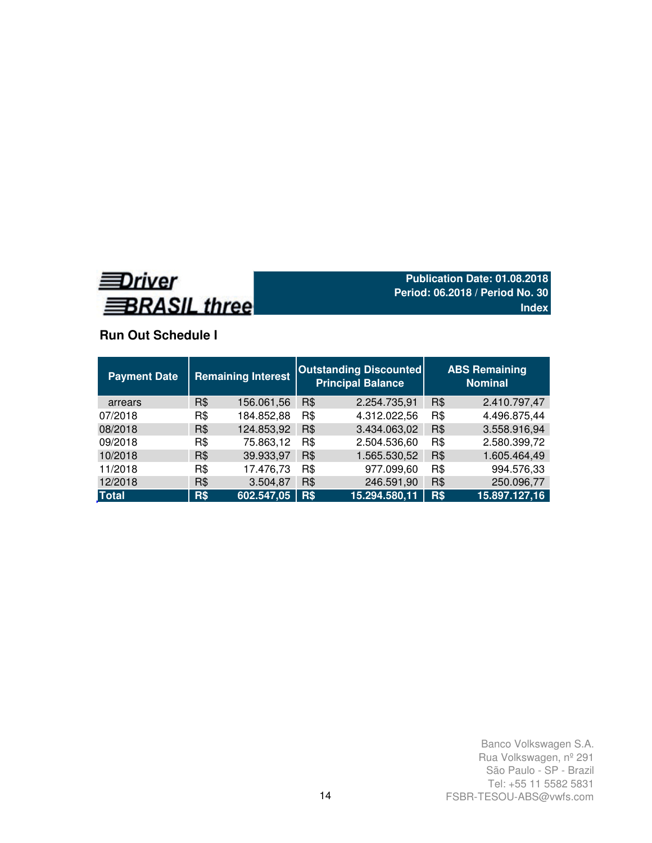

# **Run Out Schedule I**

| <b>Payment Date</b> | <b>Remaining Interest</b> |            |     | <b>Outstanding Discounted</b><br><b>Principal Balance</b> | <b>ABS Remaining</b><br><b>Nominal</b> |               |  |  |
|---------------------|---------------------------|------------|-----|-----------------------------------------------------------|----------------------------------------|---------------|--|--|
| arrears             | R\$                       | 156.061,56 | R\$ | 2.254.735,91                                              | R\$                                    | 2.410.797,47  |  |  |
| 07/2018             | R\$                       | 184.852,88 | R\$ | 4.312.022,56                                              | R\$                                    | 4.496.875,44  |  |  |
| 08/2018             | R\$                       | 124.853,92 | R\$ | 3.434.063,02                                              | R\$                                    | 3.558.916,94  |  |  |
| 09/2018             | R\$                       | 75.863,12  | R\$ | 2.504.536,60                                              | R\$                                    | 2.580.399,72  |  |  |
| 10/2018             | R\$                       | 39.933,97  | R\$ | 1.565.530,52                                              | R\$                                    | 1.605.464,49  |  |  |
| 11/2018             | R\$                       | 17.476,73  | R\$ | 977.099,60                                                | R\$                                    | 994.576,33    |  |  |
| 12/2018             | R\$                       | 3.504,87   | R\$ | 246.591,90                                                | R\$                                    | 250.096,77    |  |  |
| <b>Total</b>        | R\$                       | 602.547,05 | R\$ | 15.294.580,11                                             | R\$                                    | 15.897.127,16 |  |  |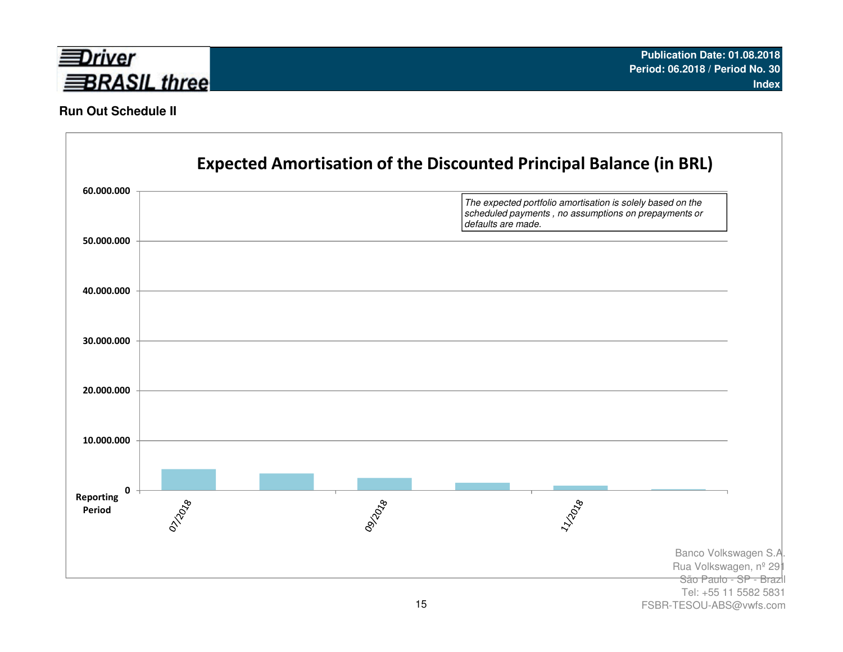

### **Run Out Schedule II**

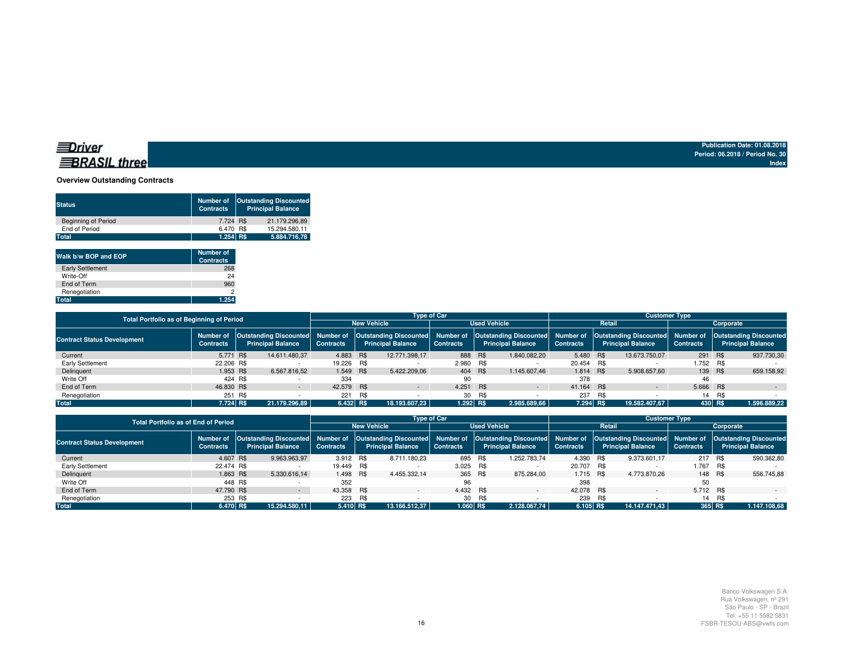#### **Overview Outstanding Contracts**

| <b>Status</b>              | <b>Number of</b><br><b>Contracts</b> | <b>Outstanding Discounted</b><br><b>Principal Balance</b> |               |  |  |  |  |
|----------------------------|--------------------------------------|-----------------------------------------------------------|---------------|--|--|--|--|
| <b>Beginning of Period</b> | 7.724 R\$                            |                                                           | 21.179.296.89 |  |  |  |  |
| End of Period              | 6.470 R\$                            |                                                           | 15.294.580.11 |  |  |  |  |
| Total                      | 1.254 R\$                            |                                                           | 5.884.716.78  |  |  |  |  |
|                            |                                      |                                                           |               |  |  |  |  |

| Walk b/w BOP and EOP    | <b>Number of</b><br><b>Contracts</b> |
|-------------------------|--------------------------------------|
| <b>Early Settlement</b> | 268                                  |
| Write-Off               | 24                                   |
| End of Term             | 960                                  |
| Renegotiation           | 2                                    |
| <b>Total</b>            | 1.254                                |

| <b>Total Portfolio as of Beginning of Period</b> |                  |  | <b>Type of Car</b>                                                         |                    |     |                          |                     |     |                          | <b>Customer Type</b> |                                                                                                                                |               |                  |     |                                                           |  |
|--------------------------------------------------|------------------|--|----------------------------------------------------------------------------|--------------------|-----|--------------------------|---------------------|-----|--------------------------|----------------------|--------------------------------------------------------------------------------------------------------------------------------|---------------|------------------|-----|-----------------------------------------------------------|--|
|                                                  |                  |  |                                                                            | <b>New Vehicle</b> |     |                          | <b>Used Vehicle</b> |     |                          |                      | Retail                                                                                                                         | Corporate     |                  |     |                                                           |  |
| <b>Contract Status Development</b>               | <b>Contracts</b> |  | Number of   Outstanding Discounted   Number of<br><b>Principal Balance</b> | <b>Contracts</b>   |     | <b>Principal Balance</b> | <b>Contracts</b>    |     | <b>Principal Balance</b> | <b>Contracts</b>     | Outstanding Discounted Number of Outstanding Discounted Number of Outstanding Discounted Number of<br><b>Principal Balance</b> |               | <b>Contracts</b> |     | <b>Outstanding Discounted</b><br><b>Principal Balance</b> |  |
| Current                                          | 5.771 R\$        |  | 14.611.480.37                                                              | 4.883 R\$          |     | 12.771.398.17            | 888 R\$             |     | 1.840.082.20             | 5.480 R\$            |                                                                                                                                | 13.673.750.07 | 291 R\$          |     | 937.730,30                                                |  |
| Early Settlement                                 | 22.206 R\$       |  |                                                                            | 19.226 R\$         |     |                          | 2.980 R\$           |     |                          | 20.454 R\$           |                                                                                                                                |               | 1.752 R\$        |     |                                                           |  |
| Delinquent                                       | 1.953 R\$        |  | 6.567.816,52                                                               | 1.549 R\$          |     | 5.422.209.06             | 404 R\$             |     | 1.145.607.46             | 1.814 R\$            |                                                                                                                                | 5.908.657.60  | 139 R\$          |     | 659.158.92                                                |  |
| Write Off                                        | 424 R\$          |  |                                                                            | 334                |     |                          | 90                  |     |                          | 378                  |                                                                                                                                |               | 46               |     |                                                           |  |
| End of Term                                      | 46,830 R\$       |  |                                                                            | 42.579 R\$         |     | $\sim$                   | 4.251 R\$           |     | $\sim$                   | 41.164 R\$           |                                                                                                                                | $\sim$        | 5.666 R\$        |     | $\sim$                                                    |  |
| Renegotiation                                    | 251 R\$          |  |                                                                            | 221                | R\$ |                          | 30                  | R\$ |                          | 237                  | R\$                                                                                                                            |               | 14               | R\$ |                                                           |  |
| <b>Total</b>                                     | 7.724 R\$        |  | 21.179.296.89                                                              | $6.432$ R\$        |     | 18.193.607.23            | $1.292$ R\$         |     | 2.985.689.66             | 7.294 R\$            |                                                                                                                                | 19.582.407.67 | 430 R\$          |     | 1.596.889,22                                              |  |

| <b>Total Portfolio as of End of Period</b> |                               |                                                                                                                                                                                        |                                        | <b>Type of Car</b> |                          |                     |         |                          |                  |         | <b>Customer Type</b>     |                  |        |                          |  |  |  |
|--------------------------------------------|-------------------------------|----------------------------------------------------------------------------------------------------------------------------------------------------------------------------------------|----------------------------------------|--------------------|--------------------------|---------------------|---------|--------------------------|------------------|---------|--------------------------|------------------|--------|--------------------------|--|--|--|
|                                            |                               |                                                                                                                                                                                        |                                        |                    | <b>New Vehicle</b>       | <b>Used Vehicle</b> |         |                          |                  | Retail  | Corporate                |                  |        |                          |  |  |  |
| <b>Contract Status Development</b>         | Number of<br><b>Contracts</b> | Outstanding Discounted Number of Outstanding Discounted Number of Outstanding Discounted Number of Outstanding Discounted Number of Outstanding Discounted<br><b>Principal Balance</b> | <b>Contracts</b>                       |                    | <b>Principal Balance</b> | <b>Contracts</b>    |         | <b>Principal Balance</b> | <b>Contracts</b> |         | <b>Principal Balance</b> | <b>Contracts</b> |        | <b>Principal Balance</b> |  |  |  |
| Current                                    | 4.607 R\$                     | 9.963.963.97                                                                                                                                                                           |                                        | 3.912 R\$          | 8.711.180.23             |                     | 695 R\$ | 1.252.783.74             | 4.390 R\$        |         | 9.373.601.17             | 217 R\$          |        | 590.362,80               |  |  |  |
| Early Settlement                           | 22.474 R\$                    |                                                                                                                                                                                        | 19.449 R\$                             |                    |                          | 3.025 R\$           |         |                          | 20.707 R\$       |         |                          | 1.767 R\$        |        |                          |  |  |  |
| Delinquent                                 | 1.863 R\$                     | 5.330.616,14                                                                                                                                                                           |                                        | 1.498 R\$          | 4.455.332.14             |                     | 365 R\$ | 875.284.00               | 1.715 R\$        |         | 4.773.870.26             | 148 R\$          |        | 556.745.88               |  |  |  |
| Write Off                                  |                               | 448 R\$                                                                                                                                                                                | 352                                    |                    |                          | 96                  |         |                          | 398              |         |                          | 50               |        |                          |  |  |  |
| End of Term                                | 47,790 R\$                    |                                                                                                                                                                                        | 43.358 R\$<br>$\overline{\phantom{a}}$ |                    |                          | 4.432 R\$           |         | $\overline{\phantom{0}}$ | 42.078 R\$       |         |                          | 5.712 R\$        |        |                          |  |  |  |
| Renegotiation                              |                               | 253 R\$                                                                                                                                                                                | 223                                    | R\$                |                          |                     | 30 R\$  |                          |                  | 239 R\$ |                          |                  | 14 R\$ |                          |  |  |  |
| <b>Total</b>                               | 6.470 R\$                     | 15.294.580.11                                                                                                                                                                          |                                        | $5.410$ RS         | 13.166.512.37            | $1.060$ R\$         |         | 2.128.067.74             | 6.105 R\$        |         | 14.147.471.43            | 365 RS           |        | 1.147.108,68             |  |  |  |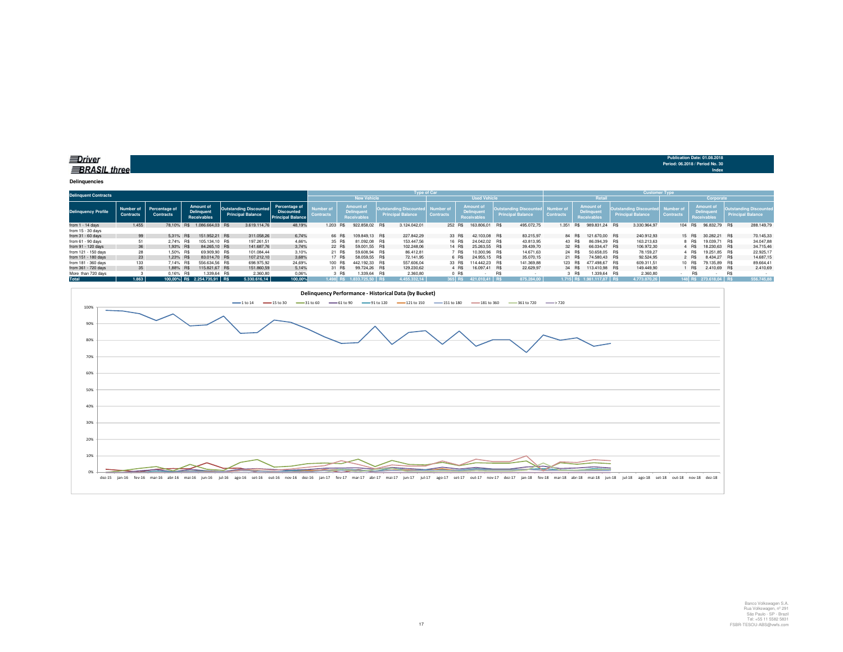**BRASIL** three

**Delinquencies**

| <b>Delinquent Contracts</b> |                                 |                                   |                                               |                                                           |                                                                |                  |            |                                                             |            | <b>Type of Car</b>                              |                              |                     |                                              |            |                                                    |                               |           |                                              |  | <b>Customer Type</b>                             |                                         |            |                                        |                          |                      |
|-----------------------------|---------------------------------|-----------------------------------|-----------------------------------------------|-----------------------------------------------------------|----------------------------------------------------------------|------------------|------------|-------------------------------------------------------------|------------|-------------------------------------------------|------------------------------|---------------------|----------------------------------------------|------------|----------------------------------------------------|-------------------------------|-----------|----------------------------------------------|--|--------------------------------------------------|-----------------------------------------|------------|----------------------------------------|--------------------------|----------------------|
|                             |                                 |                                   |                                               |                                                           |                                                                |                  |            | <b>New Vehicle</b>                                          |            |                                                 |                              | <b>Used Vehicle</b> |                                              |            |                                                    | Retail                        |           |                                              |  |                                                  | Corporate                               |            |                                        |                          |                      |
| <b>Delinquency Profile</b>  | Number of I<br><b>Contracts</b> | Percentage of<br><b>Contracts</b> | <b>Amount of</b><br>Delinquent<br>Receivables | <b>Outstanding Discounted</b><br><b>Principal Balance</b> | Percentage of<br><b>Discounted</b><br><b>Principal Balance</b> | <b>Contracts</b> |            | <b>Amount of</b><br><b>Delinquent</b><br><b>Receivables</b> |            | lutstanding Discour<br><b>Principal Balance</b> | Number o<br><b>Contracts</b> |                     | Amount of<br><b>Delinquen</b><br>Receivable: |            | utstanding Discoun!<br><b>Principal</b><br>Balance | Number of<br><b>Contracts</b> |           | <b>Amount of</b><br>Delinquen<br>Receivables |  | )utstandinɑ Discoun।<br><b>Principal Balance</b> | Number <sub>o</sub><br><b>Contracts</b> |            | Amount of<br>Delinquent<br>Receivables | <b>Principal Balance</b> | Jutstanding Discount |
| from $1 - 14$ days          | 1.455                           | 78.10% R\$                        | 1.086.664.03 R\$                              | 3.619.114.76                                              | 48,19%                                                         |                  | 1.203 R\$  | 922,858.02                                                  | <b>R\$</b> | 3.124.042.01                                    |                              | 252 R\$             | 163,806.01                                   | <b>R\$</b> | 495.072,75                                         | 1.351                         | <b>RS</b> | 989.831.24 R\$                               |  | 3.330.964,97                                     |                                         | 104 RS     | 96.832.79 R\$                          |                          | 288.149,79           |
| from 15 - 30 days           |                                 |                                   |                                               |                                                           |                                                                |                  |            |                                                             |            |                                                 |                              |                     |                                              |            |                                                    |                               |           |                                              |  |                                                  |                                         |            |                                        |                          |                      |
| from $31 - 60$ days         | 99                              | 5.31% R\$                         | 151,952.21 R\$                                | 311.058.26                                                | 6.74%                                                          |                  | 66 R\$     | 109.849.13 R\$                                              |            | 227,842.29                                      |                              | 33 R\$              | 42.103.08 R\$                                |            | 83.215.97                                          |                               | 84 RS     | 121.670.00 R\$                               |  | 240.912.93                                       |                                         | 15 R\$     | 30,282.21 R\$                          |                          | 70.145,33            |
| from 61 - 90 days           | 51                              | 2.74% R\$                         | 105.134.10 R\$                                | 197.261.51                                                | 4.66%                                                          |                  | 35 R\$     | 81.092.08                                                   | <b>R\$</b> | 153.447.56                                      |                              | 16 R\$              | 24.042.02 R\$                                |            | 43.813.95                                          |                               | 43 RS     | 86.094.39 R\$                                |  | 163.213.63                                       |                                         | 8 RS       | 19.039.71 R\$                          |                          | 34.047,88            |
| from 91 - 120 days          | 36                              | 1,93% R\$                         | 84,265.10 R\$                                 | 141.687,76                                                | 3.74%                                                          |                  | 22 R\$     | 59.001.55                                                   | <b>R\$</b> | 102.248.06                                      |                              | 14 R\$              | 25.263.55 R\$                                |            | 39.439.70                                          |                               | 32 R\$    | 66.034.47 R\$                                |  | 106.972.30                                       |                                         | 4 RS       | 18,230.63 R\$                          |                          | 34.715,46            |
| from 121 - 150 days         | 28                              | 1.50% R\$                         | 69,909.90 R\$                                 | 101.084.44                                                | 3.10%                                                          |                  | 21 R\$     | 59,608.94                                                   | R\$        | 86.412.81                                       |                              | R\$                 | 10,300.96 R\$                                |            | 14.671.63                                          |                               | 24 R\$    | 50.658.05 R\$                                |  | 78.159.27                                        |                                         | 4 RS       | 19,251.85 R\$                          |                          | 22.925,17            |
| from 151 - 180 days         | 23                              | 1.23% R\$                         | 83,014.70 R\$                                 | 107.212.10                                                | 3,68%                                                          |                  | 17 R\$     | 58.059.55                                                   | R\$        | 72.141.95                                       |                              | 6 R\$               | 24.955.15 R\$                                |            | 35,070.15                                          |                               | 21 R\$    | 74,580.43 R\$                                |  | 92.524.95                                        |                                         | 2 RS       | 8.434.27 R\$                           |                          | 14.687,15            |
| from 181 - 360 days         | 133                             | 7.14% R\$                         | 556.634,56 R\$                                | 698.975,92                                                | 24,69%                                                         |                  | 100 R\$    | 442.192.33                                                  | R\$        | 557.606,04                                      |                              | 33 R\$              | 114.442.23 R\$                               |            | 141.369,88                                         |                               | 123 RS    | 477,498.67 R\$                               |  | 609.311,51                                       |                                         | 10 R\$     | 79.135,89 R\$                          |                          | 89.664,41            |
| from 361 - 720 days         | 35                              | 1.88% R\$                         | 115,821,67 R\$                                | 151.860,59                                                | 5,14%                                                          |                  | 31 R\$     | 99.724,26 R\$                                               |            | 129,230.62                                      |                              | 4 R\$               | 16.097,41 R\$                                |            | 22.629.97                                          |                               | 34 R\$    | 113.410.98 R\$                               |  | 149,449.90                                       |                                         | <b>R\$</b> | 2.410,69 R\$                           |                          | 2.410,69             |
| More than 720 days          |                                 | 0.16% R\$                         | 1.339.64 R\$                                  | 2.360.80                                                  | 0,06%                                                          |                  | 3 R\$      | 1.339,64                                                    | R\$        | 2.360,80                                        |                              | $0$ R\$             |                                              | R\$        |                                                    |                               | R\$       | .339,64 R\$                                  |  | 2.360,80                                         |                                         |            |                                        | <b>R\$</b>               |                      |
| <b>Total</b>                | 1.863                           |                                   | 100.00% R\$ 2.254.735.91 R\$                  | 5.330.616.14                                              | 100.00%                                                        |                  | $1.498$ RS | 1.833.725.50 BS                                             |            | 4.455.332.14                                    |                              | 365 RS              |                                              | i Ri       | 875.284.0                                          |                               |           | $1.715$ RS $1.981.117.87$ RS                 |  | 4.773.870.26                                     |                                         | $148$ RS   | $273.618.04$ RS                        |                          | 556,745.88           |



**Publication Date: 01.08.2018 Period: 06.2018 / Period No. 30**

**Index**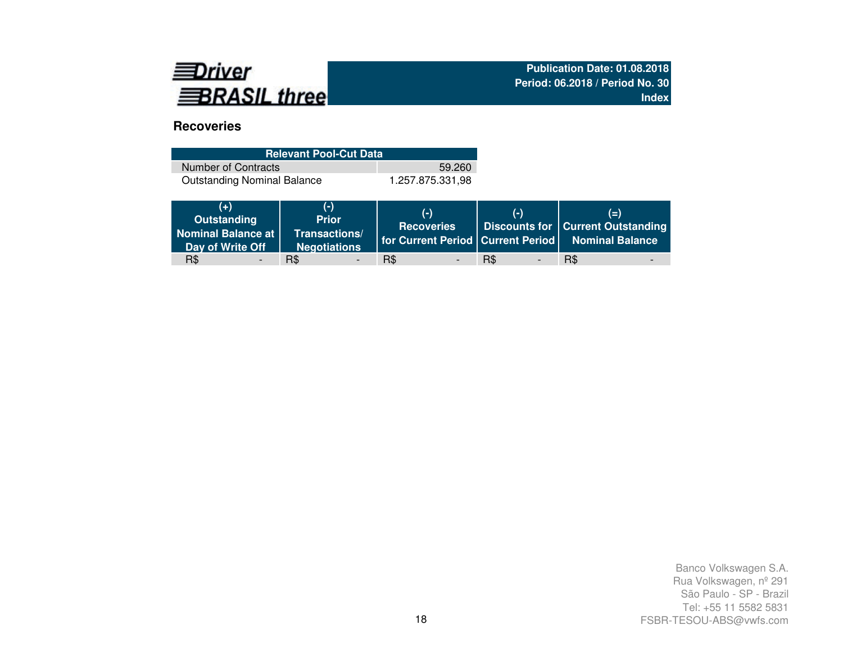

# **Recoveries**

| <b>Relevant Pool-Cut Data</b>      |                  |
|------------------------------------|------------------|
| Number of Contracts                | 59.260           |
| <b>Outstanding Nominal Balance</b> | 1.257.875.331.98 |

| (4)<br>Outstanding<br><b>Nominal Balance at</b><br>Day of Write Off | $(-)$<br><b>Prior</b><br>Transactions/<br><b>Negotiations</b> | $(-)$<br><b>Recoveries</b> | $($ -)                                 | $(=\)$<br>Discounts for   Current Outstanding<br>for Current Period Current Period Nominal Balance |
|---------------------------------------------------------------------|---------------------------------------------------------------|----------------------------|----------------------------------------|----------------------------------------------------------------------------------------------------|
| R\$                                                                 | R\$<br>$\overline{\phantom{a}}$                               | R\$                        | <b>R\$</b><br>$\overline{\phantom{a}}$ | R\$                                                                                                |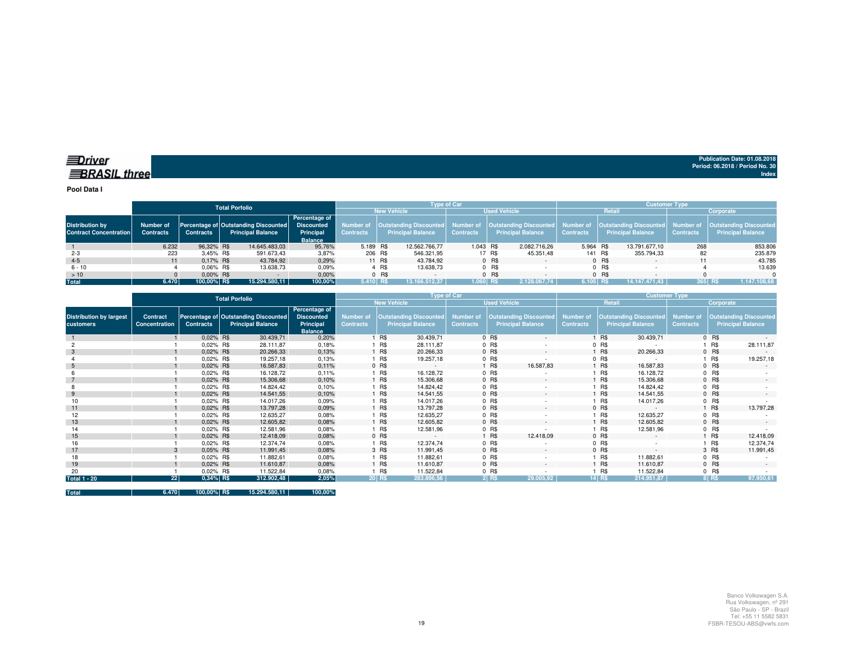**Pool Data I**

|                                                         |                               |                  | <b>Total Porfolio</b>                                                   |                                                                   |                  |        |                                                                            | <b>Tvpe of Car</b> |        |                                                                     |                  |         | <b>Customer Type</b>                                      |                  |                                                                |
|---------------------------------------------------------|-------------------------------|------------------|-------------------------------------------------------------------------|-------------------------------------------------------------------|------------------|--------|----------------------------------------------------------------------------|--------------------|--------|---------------------------------------------------------------------|------------------|---------|-----------------------------------------------------------|------------------|----------------------------------------------------------------|
|                                                         |                               |                  |                                                                         |                                                                   |                  |        | <b>New Vehicle</b>                                                         |                    |        | <b>Used Vehicle</b>                                                 |                  | Retail  |                                                           |                  | Corporate                                                      |
| <b>Distribution by</b><br><b>Contract Concentration</b> | Number of<br><b>Contracts</b> | <b>Contracts</b> | <b>Percentage of Outstanding Discounted</b><br><b>Principal Balance</b> | Percentage of<br><b>Discounted</b><br>Principal<br><b>Balance</b> | <b>Contracts</b> |        | Number of   Outstanding Discounted   Number of<br><b>Principal Balance</b> | <b>Contracts</b>   |        | <b>Outstanding Discounted</b> Number of<br><b>Principal Balance</b> | <b>Contracts</b> |         | <b>Outstanding Discounted</b><br><b>Principal Balance</b> | <b>Contracts</b> | Number of   Outstanding Discounted<br><b>Principal Balance</b> |
|                                                         | 6.232                         | 96.32% R\$       | 14,645,483,03                                                           | 95,76%                                                            | 5.189 R\$        |        | 12.562.766.77                                                              | 1.043 R\$          |        | 2.082.716.26                                                        | 5.964 R\$        |         | 13.791.677.10                                             | 268              | 853.806                                                        |
| $2 - 3$                                                 | 223                           | 3,45% R\$        | 591.673,43                                                              | 3,87%                                                             | 206 R\$          |        | 546.321,95                                                                 |                    | 17 R\$ | 45.351.48                                                           |                  | 141 R\$ | 355.794,33                                                | 82               | 235.879                                                        |
| $4 - 5$                                                 | 11                            | 0.17% R\$        | 43.784,92                                                               | 0,29%                                                             |                  | 11 R\$ | 43.784.92                                                                  |                    | 0 R\$  |                                                                     |                  | 0 R\$   | $\sim$                                                    |                  | 43.785                                                         |
| $6 - 10$                                                |                               | $0.06\%$ R\$     | 13.638.73                                                               | 0.09%                                                             |                  | 4 R\$  | 13.638.73                                                                  |                    | 0 R\$  |                                                                     |                  | $0$ R\$ |                                                           |                  | 13.639                                                         |
| >10                                                     |                               | $0.00\%$ R\$     |                                                                         | 0,00%                                                             |                  | 0 R\$  |                                                                            |                    | 0 R\$  |                                                                     |                  | $0$ R\$ |                                                           |                  |                                                                |
| <b>Total</b>                                            | 6.470                         | 100,00% R\$      | 15.294.580.11                                                           | 100,00%                                                           | 5.410 RS         |        | 13.166.512.37                                                              | $1.060$ RS         |        | 2.128.067.74                                                        | 6.105 RS         |         | 14.147.471.43                                             |                  | $365$ RS<br>1.147.108,68                                       |

|                                             |                           |                  | <b>Total Porfolio</b>                                            |                                                                   |                                      |        | <b>Type of Car</b>                                        |                                      |         |                                                           |                                      |         | <b>Customer Type</b>                                      |                                      |           |                                                           |
|---------------------------------------------|---------------------------|------------------|------------------------------------------------------------------|-------------------------------------------------------------------|--------------------------------------|--------|-----------------------------------------------------------|--------------------------------------|---------|-----------------------------------------------------------|--------------------------------------|---------|-----------------------------------------------------------|--------------------------------------|-----------|-----------------------------------------------------------|
|                                             |                           |                  |                                                                  |                                                                   |                                      |        | <b>New Vehicle</b>                                        |                                      |         | <b>Used Vehicle</b>                                       |                                      |         | Retail                                                    |                                      | Corporate |                                                           |
| <b>Distribution by largest</b><br>customers | Contract<br>Concentration | <b>Contracts</b> | Percentage of Outstanding Discounted<br><b>Principal Balance</b> | Percentage of<br><b>Discounted</b><br>Principal<br><b>Balance</b> | <b>Number of</b><br><b>Contracts</b> |        | <b>Outstanding Discounted</b><br><b>Principal Balance</b> | <b>Number of</b><br><b>Contracts</b> |         | <b>Outstanding Discounted</b><br><b>Principal Balance</b> | <b>Number of</b><br><b>Contracts</b> |         | <b>Outstanding Discounted</b><br><b>Principal Balance</b> | <b>Number of</b><br><b>Contracts</b> |           | <b>Outstanding Discounted</b><br><b>Principal Balance</b> |
|                                             |                           | 0.02% R\$        | 30.439,71                                                        | 0,20%                                                             |                                      | 1 R\$  | 30.439,71                                                 |                                      | 0 R\$   | $\sim$                                                    |                                      | R\$     | 30.439,71                                                 |                                      | 0 R\$     |                                                           |
|                                             |                           | 0.02% R\$        | 28.111,87                                                        | 0,18%                                                             |                                      | 1 R\$  | 28.111,87                                                 |                                      | $0$ R\$ |                                                           |                                      | $0$ R\$ |                                                           |                                      | 1 R\$     | 28.111,87                                                 |
|                                             |                           | 0,02% R\$        | 20.266,33                                                        | 0,13%                                                             |                                      | 1 R\$  | 20.266,33                                                 |                                      | 0 R\$   | $\sim$                                                    |                                      | R\$     | 20.266,33                                                 |                                      | 0 R\$     | $\sim$                                                    |
|                                             |                           | 0.02% R\$        | 19.257,18                                                        | 0,13%                                                             |                                      | 1 R\$  | 19.257,18                                                 |                                      | $0$ R\$ | ٠                                                         |                                      | 0 R\$   |                                                           |                                      | 1 R\$     | 19.257,18                                                 |
|                                             |                           | 0.02% R\$        | 16.587,83                                                        | 0,11%                                                             |                                      | 0 R\$  | $\sim$                                                    |                                      | 1 R\$   | 16.587,83                                                 |                                      | R\$     | 16.587,83                                                 |                                      | $0$ R\$   |                                                           |
|                                             |                           | 0.02% R\$        | 16.128,72                                                        | 0,11%                                                             |                                      | 1 R\$  | 16.128,72                                                 |                                      | 0 R\$   |                                                           |                                      | R\$     | 16.128,72                                                 |                                      | $0$ R\$   |                                                           |
|                                             |                           | 0.02% R\$        | 15.306,68                                                        | 0,10%                                                             |                                      | 1 R\$  | 15.306,68                                                 |                                      | 0 R\$   | $\sim$                                                    |                                      | R\$     | 15.306,68                                                 |                                      | $0$ R\$   | $\sim$                                                    |
|                                             |                           | 0.02% R\$        | 14.824,42                                                        | 0,10%                                                             |                                      | 1 R\$  | 14.824,42                                                 |                                      | 0 R\$   |                                                           |                                      | R\$     | 14.824,42                                                 |                                      | $0$ R\$   |                                                           |
|                                             |                           | 0.02% R\$        | 14.541,55                                                        | 0,10%                                                             |                                      | 1 R\$  | 14.541,55                                                 |                                      | 0 R\$   | $\sim$                                                    |                                      | R\$     | 14.541,55                                                 |                                      | $0$ R\$   |                                                           |
|                                             |                           | 0.02% R\$        | 14.017,26                                                        | 0,09%                                                             |                                      | 1 R\$  | 14.017,26                                                 |                                      | 0 R\$   |                                                           |                                      | R\$     | 14.017,26                                                 |                                      | $0$ R\$   |                                                           |
| 11                                          |                           | 0.02% R\$        | 13.797,28                                                        | 0,09%                                                             |                                      | 1 R\$  | 13.797,28                                                 |                                      | 0 R\$   | $\sim$                                                    |                                      | 0 R\$   | $\sim$ 100 $\pm$                                          |                                      | 1 R\$     | 13.797,28                                                 |
| 12                                          |                           | 0.02% R\$        | 12.635,27                                                        | 0,08%                                                             |                                      | 1 R\$  | 12.635,27                                                 |                                      | $0$ R\$ | $\overline{\phantom{a}}$                                  |                                      | R\$     | 12.635,27                                                 |                                      | $0$ R\$   |                                                           |
| 13                                          |                           | 0.02% R\$        | 12.605,82                                                        | 0,08%                                                             |                                      | 1 R\$  | 12.605,82                                                 |                                      | 0 R\$   | $\sim$                                                    |                                      | R\$     | 12.605,82                                                 |                                      | 0 R\$     | $\sim$                                                    |
| 14                                          |                           | 0.02% R\$        | 12.581,96                                                        | 0,08%                                                             |                                      | 1 R\$  | 12.581,96                                                 |                                      | $0$ R\$ |                                                           |                                      | R\$     | 12.581,96                                                 |                                      | $0$ R\$   |                                                           |
| 15                                          |                           | 0.02% R\$        | 12.418,09                                                        | 0,08%                                                             |                                      | 0 R\$  | $\sim$                                                    |                                      | R\$     | 12.418,09                                                 |                                      | 0 R\$   | $\sim$ 10 $\pm$                                           |                                      | 1 R\$     | 12.418,09                                                 |
| 16                                          |                           | 0.02% R\$        | 12.374,74                                                        | 0,08%                                                             |                                      | 1 R\$  | 12.374,74                                                 |                                      | 0 R\$   |                                                           |                                      | $0$ R\$ |                                                           |                                      | 1 R\$     | 12.374,74                                                 |
| 17                                          |                           | 0.05% R\$        | 11.991,45                                                        | 0,08%                                                             |                                      | 3 R\$  | 11.991,45                                                 |                                      | 0 R\$   | $\sim$                                                    |                                      | 0 R\$   | $\sim$                                                    |                                      | 3 R\$     | 11.991,45                                                 |
| 18                                          |                           | 0.02% R\$        | 11.882,61                                                        | 0,08%                                                             |                                      | 1 R\$  | 11.882,61                                                 |                                      | 0 R\$   | ٠                                                         |                                      | R\$     | 11.882,61                                                 |                                      | $0$ R\$   |                                                           |
| 19                                          |                           | 0.02% R\$        | 11.610,87                                                        | 0,08%                                                             |                                      | 1 R\$  | 11.610,87                                                 |                                      | 0 R\$   | $\sim$                                                    |                                      | R\$     | 11.610,87                                                 |                                      | 0 R\$     | $\sim$                                                    |
| 20                                          |                           | 0.02% R\$        | 11.522,84                                                        | 0,08%                                                             |                                      | 1 R\$  | 11.522,84                                                 |                                      | $0$ R\$ |                                                           |                                      | R\$     | 11.522,84                                                 |                                      | $0$ R\$   |                                                           |
| <b>Total 1 - 20</b>                         | 22                        | 0,34% R\$        | 312.902,48                                                       | 2,05%                                                             |                                      | 20 R\$ | 283.896,56                                                |                                      | $2$ RS  | 29.005,92                                                 |                                      | 14 R\$  | 214.951,87                                                |                                      | 8 RS      | 97.950,61                                                 |

**Total 6.470 100,00% R\$ 15.294.580,11 100,00%**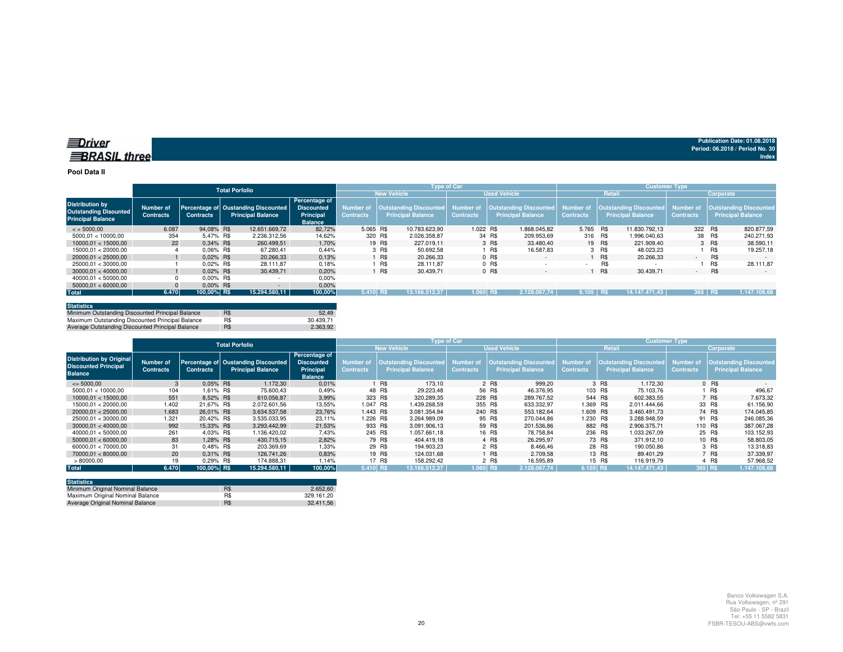#### **Pool Data II**

|                                                                                    |                               |                  | <b>Total Porfolio</b>                                           |                                                                          |                               |                                                    | <b>Type of Car</b>            |                                                                     |                  |               | <b>Customer Type</b>                                                |                  |           |                                                           |
|------------------------------------------------------------------------------------|-------------------------------|------------------|-----------------------------------------------------------------|--------------------------------------------------------------------------|-------------------------------|----------------------------------------------------|-------------------------------|---------------------------------------------------------------------|------------------|---------------|---------------------------------------------------------------------|------------------|-----------|-----------------------------------------------------------|
|                                                                                    |                               |                  |                                                                 |                                                                          |                               | <b>New Vehicle</b>                                 |                               | <b>Used Vehicle</b>                                                 |                  | <b>Retail</b> |                                                                     |                  | Corporate |                                                           |
| <b>Distribution by</b><br><b>Outstanding Disounted</b><br><b>Principal Balance</b> | Number of<br><b>Contracts</b> | <b>Contracts</b> | Percentage of Oustanding Discounted<br><b>Principal Balance</b> | Percentage of<br><b>Discounted</b><br><b>Principal</b><br><b>Balance</b> | Number of<br><b>Contracts</b> | Outstanding Discounted<br><b>Principal Balance</b> | Number of<br><b>Contracts</b> | <b>Outstanding Discounted</b> Number of<br><b>Principal Balance</b> | <b>Contracts</b> |               | <b>Outstanding Discounted</b> Number of<br><b>Principal Balance</b> | <b>Contracts</b> |           | <b>Outstanding Discounted</b><br><b>Principal Balance</b> |
| $\leq$ = 5000.00                                                                   | 6.087                         | 94.08% R\$       | 12.651.669.72                                                   | 82.72%                                                                   | 5.065 R\$                     | 10.783.623.90                                      | 1.022 R\$                     | 1.868.045.82                                                        | 5.765 R\$        |               | 11.830.792.13                                                       | 322 R\$          |           | 820.877.59                                                |
| 5000.01 < 10000.00                                                                 | 354                           | 5.47% R\$        | 2.236.312.56                                                    | 14.62%                                                                   | 320 R\$                       | 2.026.358.87                                       |                               | 34 R\$<br>209.953.69                                                | 316 R\$          |               | 1.996.040.63                                                        |                  | 38 R\$    | 240.271.93                                                |
| 10000.01 < 15000.00                                                                | 22                            | 0.34% R\$        | 260.499.51                                                      | 1.70%                                                                    |                               | 19 R\$<br>227.019.11                               |                               | 3 R\$<br>33,480.40                                                  |                  | 19 R\$        | 221.909.40                                                          |                  | 3 R\$     | 38.590,11                                                 |
| 15000.01 < 20000.00                                                                |                               | $0.06\%$ R\$     | 67.280.41                                                       | 0.44%                                                                    |                               | 3 R\$<br>50.692.58                                 |                               | <b>R\$</b><br>16.587.83                                             |                  | 3 R\$         | 48.023.23                                                           |                  | R\$       | 19.257.18                                                 |
| 20000.01 < 25000.00                                                                |                               | $0.02\%$ R\$     | 20.266.33                                                       | 0.13%                                                                    |                               | R\$<br>20.266.33                                   |                               | $0$ R\$<br>$\sim$                                                   |                  | <b>R\$</b>    | 20.266.33                                                           | <b>COL</b>       | R\$       | $\sim$                                                    |
| 25000.01 < 30000.00                                                                |                               | $0.02\%$ R\$     | 28.111.87                                                       | 0.18%                                                                    |                               | R\$<br>28.111.87                                   |                               | 0 R\$<br>. .                                                        |                  | R\$           |                                                                     |                  | R\$       | 28.111.87                                                 |
| 30000.01 < 40000.00                                                                |                               | $0.02\%$ R\$     | 30.439.71                                                       | 0,20%                                                                    |                               | R\$<br>30.439.71                                   |                               | 0 R\$<br>$\overline{\phantom{a}}$                                   |                  | R\$           | 30.439,71                                                           | $\sim$           | R\$       | $\sim$                                                    |
| 40000.01 < 50000.00                                                                |                               | $0.00\%$ R\$     |                                                                 | 0,00%                                                                    |                               |                                                    |                               |                                                                     |                  |               |                                                                     |                  |           |                                                           |
| 50000.01 < 60000.00                                                                |                               | $0.00\%$ R\$     |                                                                 | $0.00\%$                                                                 |                               |                                                    |                               |                                                                     |                  |               |                                                                     |                  |           |                                                           |
| <b>Total</b>                                                                       | 6.470                         | 100.00% R\$      | 15.294.580.11                                                   | 100,00%                                                                  | 5.410 RS                      | 13.166.512.37                                      | 1.060 RS                      | 2.128.067.74                                                        | 6.105 R\$        |               | 14.147.471.43                                                       | $365$ RS         |           | 1.147.108.68                                              |

| <b>Statistics</b>                                |            |           |
|--------------------------------------------------|------------|-----------|
| Minimum Outstanding Discounted Principal Balance | <b>R\$</b> | 52.49     |
| Maximum Outstanding Discounted Principal Balance | R\$        | 30.439.71 |
| Average Outstanding Discounted Principal Balance | R\$        | 2.363.92  |

|                                                                                  |                               |                  | <b>Total Porfolio</b>                                           |                                                                   |                                      |                                                    | <b>Type of Car</b>            |                                                    |                                      |                                             | <b>Customer Type</b>          |                                                    |
|----------------------------------------------------------------------------------|-------------------------------|------------------|-----------------------------------------------------------------|-------------------------------------------------------------------|--------------------------------------|----------------------------------------------------|-------------------------------|----------------------------------------------------|--------------------------------------|---------------------------------------------|-------------------------------|----------------------------------------------------|
|                                                                                  |                               |                  |                                                                 |                                                                   |                                      | <b>New Vehicle</b>                                 |                               | <b>Used Vehicle</b>                                |                                      | Retail                                      |                               | Corporate                                          |
| <b>Distribution by Original</b><br><b>Discounted Principal</b><br><b>Balance</b> | Number of<br><b>Contracts</b> | <b>Contracts</b> | Percentage of Oustanding Discounted<br><b>Principal Balance</b> | Percentage of<br><b>Discounted</b><br>Principal<br><b>Balance</b> | <b>Number of</b><br><b>Contracts</b> | Outstanding Discounted<br><b>Principal Balance</b> | Number of<br><b>Contracts</b> | Outstanding Discounted<br><b>Principal Balance</b> | <b>Number of</b><br><b>Contracts</b> | Outstanding Discounted<br>Principal Balance | Number of<br><b>Contracts</b> | <b>Outstanding Discounted</b><br>Principal Balance |
| $\leq$ 5000.00                                                                   |                               | $0.05\%$ R\$     | 1.172,30                                                        | 0.01%                                                             |                                      | R\$<br>173.10                                      |                               | 999.20<br>2 R\$                                    |                                      | 1.172.30<br>3 R\$                           |                               | $0$ R\$                                            |
| 5000.01 < 10000.00                                                               | 104                           | 1.61% R\$        | 75,600.43                                                       | 0,49%                                                             |                                      | 48 R\$<br>29.223.48                                | 56 R\$                        | 46.376.95                                          |                                      | 103 R\$<br>75.103.76                        |                               | R\$<br>496,67                                      |
| 10000.01 < 15000.00                                                              | 551                           | 8.52% R\$        | 610.056.87                                                      | 3,99%                                                             | 323 R\$                              | 320.289.35                                         | 228 R\$                       | 289.767.52                                         | 544 R\$                              | 602.383.55                                  |                               | 7 R\$<br>7.673.32                                  |
| 15000.01 < 20000.00                                                              | 1.402                         | 21.67% R\$       | 2.072.601.56                                                    | 13,55%                                                            | 1.047 R\$                            | 1.439.268.59                                       | 355 R\$                       | 633.332.97                                         | 1.369 R\$                            | 2.011.444.66                                |                               | 33 R\$<br>61.156,90                                |
| 20000.01 < 25000.00                                                              | 1.683                         | 26,01% R\$       | 3.634.537.58                                                    | 23.76%                                                            | 1.443 R\$                            | 3.081.354.94                                       | 240 R\$                       | 553.182.64                                         | 1.609 R\$                            | 3.460.491.73                                |                               | 74 R\$<br>174.045.85                               |
| 25000.01 < 30000.00                                                              | 1.321                         | 20.42% R\$       | 3.535.033.95                                                    | 23.11%                                                            | 1.226 R\$                            | 3.264.989.09                                       | 95 R\$                        | 270.044.86                                         | 1.230 R\$                            | 3.288.948.59                                |                               | 91 R\$<br>246.085,36                               |
| 30000.01 < 40000.00                                                              | 992                           | 15.33% R\$       | 3.293.442.99                                                    | 21,53%                                                            | 933 R\$                              | 3.091.906.13                                       | 59 R\$                        | 201.536.86                                         | 882 R\$                              | 2.906.375.71                                | 110 R\$                       | 387.067,28                                         |
| 40000.01 < 50000.00                                                              | 261                           | 4.03% R\$        | 1.136.420.02                                                    | 7,43%                                                             | 245 R\$                              | 1.057.661.18                                       |                               | 16 R\$<br>78.758.84                                |                                      | 236 R\$<br>1.033.267.09                     |                               | 25 R\$<br>103.152.93                               |
| 50000.01 < 60000.00                                                              | 83                            | 1,28% R\$        | 430.715.15                                                      | 2,82%                                                             |                                      | 79 R\$<br>404.419.18                               |                               | 4 R\$<br>26.295.97                                 |                                      | 73 R\$<br>371.912.10                        |                               | 10 R\$<br>58.803,05                                |
| 60000.01 < 70000.00                                                              | 31                            | 0.48% R\$        | 203.369.69                                                      | 1.33%                                                             |                                      | 29 R\$<br>194.903.23                               |                               | 2 R\$<br>8.466.46                                  |                                      | 28 R\$<br>190.050.86                        |                               | 3 R\$<br>13.318,83                                 |
| 70000.01 < 80000.00                                                              | 20                            | 0.31% R\$        | 126,741.26                                                      | 0.83%                                                             |                                      | 19 R\$<br>124.031.68                               |                               | 1 R\$<br>2.709.58                                  |                                      | 13 R\$<br>89.401.29                         |                               | 7 R\$<br>37.339.97                                 |
| >80000,00                                                                        | 19                            | 0.29% R\$        | 174.888,31                                                      | 1.14%                                                             |                                      | 17 R\$<br>158.292.42                               |                               | 2 R\$<br>16.595.89                                 |                                      | 15 R\$<br>116.919.79                        |                               | 4 R\$<br>57.968,52                                 |
| <b>Total</b>                                                                     | 6.470                         | 100.00% R\$      | 15.294.580.11                                                   | 100,00%                                                           | 5.410 RS                             | 13.166.512.37                                      | $1.060$ RS                    | 2.128.067.74                                       | 6.105 R\$                            | 14.147.471.43                               | 365 R\$                       | 1.147.108,68                                       |

| <b>Statistics</b>                |     |            |
|----------------------------------|-----|------------|
| Minimum Original Nominal Balance | R\$ | 2.652.60   |
| Maximum Original Nominal Balance | R\$ | 329.161.20 |
| Average Original Nominal Balance | R\$ | 32.411.56  |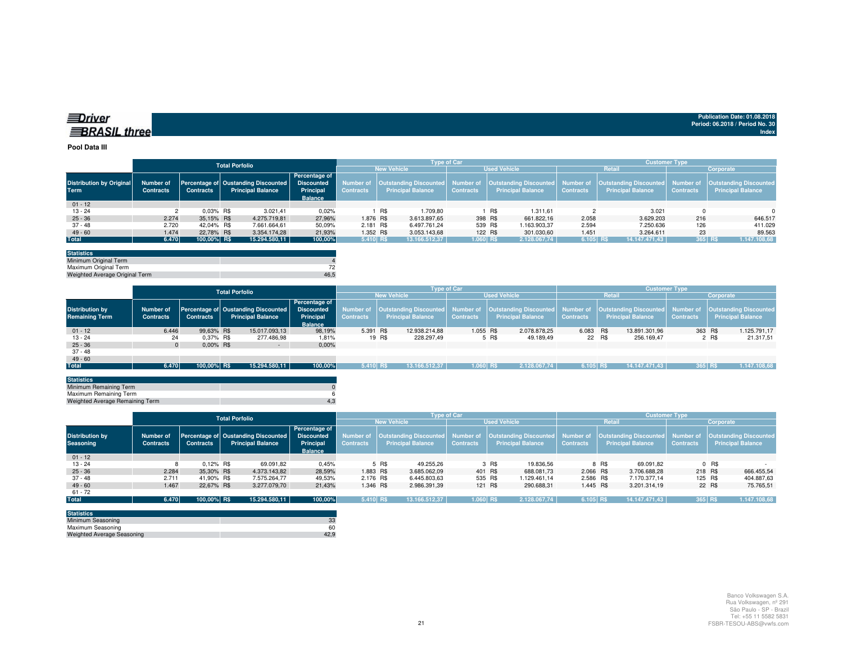| ≡∪rıver             |  |
|---------------------|--|
| <b>∃BRASIL thre</b> |  |

#### **Pool Data III**

|                                 |                  |                  | <b>Total Porfolio</b> |                                     |                   |                  |     | <b>Type of Car</b>       |                  |       |                          |                  | <b>Customer Type</b>     |                  |                                                                                                                                            |
|---------------------------------|------------------|------------------|-----------------------|-------------------------------------|-------------------|------------------|-----|--------------------------|------------------|-------|--------------------------|------------------|--------------------------|------------------|--------------------------------------------------------------------------------------------------------------------------------------------|
|                                 |                  |                  |                       |                                     |                   |                  |     | <b>New Vehicle</b>       |                  |       | <b>Used Vehicle</b>      |                  | Retail                   |                  | Corporate                                                                                                                                  |
|                                 |                  |                  |                       |                                     | Percentage of     |                  |     |                          |                  |       |                          |                  |                          |                  |                                                                                                                                            |
| <b>Distribution by Original</b> | Number of        |                  |                       | Percentage of Oustanding Discounted | <b>Discounted</b> |                  |     |                          |                  |       |                          |                  |                          |                  | Number of  Outstanding Discounted  Number of  Outstanding Discounted  Number of  Outstanding Discounted  Number of  Outstanding Discounted |
| <b>Term</b>                     | <b>Contracts</b> | <b>Contracts</b> |                       | <b>Principal Balance</b>            | Principal         | <b>Contracts</b> |     | <b>Principal Balance</b> | <b>Contracts</b> |       | <b>Principal Balance</b> | <b>Contracts</b> | <b>Principal Balance</b> | <b>Contracts</b> | <b>Principal Balance</b>                                                                                                                   |
|                                 |                  |                  |                       |                                     | <b>Balance</b>    |                  |     |                          |                  |       |                          |                  |                          |                  |                                                                                                                                            |
| $01 - 12$                       |                  |                  |                       |                                     |                   |                  |     |                          |                  |       |                          |                  |                          |                  |                                                                                                                                            |
| $13 - 24$                       |                  | $0.03\%$ R\$     |                       | 3.021,41                            | 0,02%             |                  | R\$ | 1.709.80                 |                  | , R\$ | 1.311,61                 |                  | 3.021                    |                  | $\Omega$                                                                                                                                   |
| $25 - 36$                       | 2.274            | 35.15% R\$       |                       | 4.275.719.81                        | 27.96%            | 1.876 R\$        |     | 3.613.897,65             | 398 R\$          |       | 661.822.16               | 2.058            | 3.629.203                | 216              | 646.517                                                                                                                                    |
| 37 - 48                         | 2.720            | 42.04% R\$       |                       | 7.661.664,61                        | 50,09%            | 2.181 R\$        |     | 6.497.761.24             | 539 R\$          |       | 1.163.903,37             | 2.594            | 7.250.636                | 126              | 411.029                                                                                                                                    |
| $49 - 60$                       | 1.474            | 22.78% R\$       |                       | 3.354.174.28                        | 21.93%            | 1.352 R\$        |     | 3.053.143.68             | 122 R\$          |       | 301.030.60               | 1.451            | 3.264.611                | 23               | 89.563                                                                                                                                     |
| <b>Total</b>                    | 6.470            | 100,00% R\$      |                       | 15.294.580,11                       | 100,00%           | $5.410$ R\$      |     | 13.166.512.37            | 1.060 R\$        |       | 2.128.067.74             | $6.105$ R\$      | 14.147.471.43            | 365 R\$          | 1.147.108,68                                                                                                                               |
|                                 |                  |                  |                       |                                     |                   |                  |     |                          |                  |       |                          |                  |                          |                  |                                                                                                                                            |

| <b>Statistics</b>              |      |
|--------------------------------|------|
| Minimum Original Term          |      |
| Maximum Original Term          |      |
| Weighted Average Original Term | 46.5 |

|                        |                  | <b>Total Porfolio</b> |  |                                     |                                    |                    | <b>Type of Car</b> |                          |                     |                   |              |                  | <b>Customer Type</b>                                                                                                                       |               |                  |       |                   |  |
|------------------------|------------------|-----------------------|--|-------------------------------------|------------------------------------|--------------------|--------------------|--------------------------|---------------------|-------------------|--------------|------------------|--------------------------------------------------------------------------------------------------------------------------------------------|---------------|------------------|-------|-------------------|--|
|                        |                  |                       |  |                                     |                                    | <b>New Vehicle</b> |                    |                          | <b>Used Vehicle</b> |                   |              |                  | <b>Retail</b>                                                                                                                              | Corporate     |                  |       |                   |  |
| <b>Distribution by</b> | Number of        |                       |  | Percentage of Oustanding Discounted | Percentage of<br><b>Discounted</b> |                    |                    |                          |                     |                   |              |                  | Number of  Outstanding Discounted  Number of  Outstanding Discounted  Number of  Outstanding Discounted  Number of  Outstanding Discounted |               |                  |       |                   |  |
| <b>Remaining Term</b>  | <b>Contracts</b> | <b>Contracts</b>      |  | <b>Principal Balance</b>            | Principal<br><b>Balance</b>        | <b>Contracts</b>   |                    | <b>Principal Balance</b> | <b>Contracts</b>    | Principal Balance |              | <b>Contracts</b> | <b>Principal Balance</b>                                                                                                                   |               | <b>Contracts</b> |       | Principal Balance |  |
| $01 - 12$              | 6.446            | 99.63% R\$            |  | 15.017.093.13                       | 98,19%                             | 5.391 R\$          |                    | 12.938.214.88            | 1.055 R\$           |                   | 2.078.878.25 | 6.083 R\$        |                                                                                                                                            | 13.891.301.96 | 363 R\$          |       | 1.125.791,17      |  |
| $13 - 24$              | 24               | 0.37% R\$             |  | 277.486,98                          | 1,81%                              |                    | 19 R\$             | 228.297,49               |                     | 5 R\$             | 49.189.49    | 22 R\$           |                                                                                                                                            | 256.169.47    |                  | 2 R\$ | 21.317,51         |  |
| $25 - 36$              |                  | $0.00\%$ R\$          |  | $\sim$                              | 0,00%                              |                    |                    |                          |                     |                   |              |                  |                                                                                                                                            |               |                  |       |                   |  |
| $37 - 48$              |                  |                       |  |                                     |                                    |                    |                    |                          |                     |                   |              |                  |                                                                                                                                            |               |                  |       |                   |  |
| $49 - 60$              |                  |                       |  |                                     |                                    |                    |                    |                          |                     |                   |              |                  |                                                                                                                                            |               |                  |       |                   |  |
| Total                  | 6.470            | 100,00% R\$           |  | 15.294.580,11                       | 100,00%                            | 5.410 RS           |                    | 13.166.512.37            | $1.060$ R\$         |                   | 2.128.067.74 | 6.105 RS         |                                                                                                                                            | 14.147.471.43 | 365 R\$          |       | 1.147.108,68      |  |
|                        |                  |                       |  |                                     |                                    |                    |                    |                          |                     |                   |              |                  |                                                                                                                                            |               |                  |       |                   |  |

| <b>Statistics</b>               |  |
|---------------------------------|--|
| Minimum Remaining Term          |  |
| Maximum Remaining Term          |  |
| Weighted Average Remaining Term |  |
|                                 |  |

|                                            |                               |                  | <b>Total Porfolio</b>                                           |                                                                   |                               |                          | <b>Type of Car</b> |                                                                                                                                                            | <b>Customer Type</b> |                          |                  |                       |  |  |  |
|--------------------------------------------|-------------------------------|------------------|-----------------------------------------------------------------|-------------------------------------------------------------------|-------------------------------|--------------------------|--------------------|------------------------------------------------------------------------------------------------------------------------------------------------------------|----------------------|--------------------------|------------------|-----------------------|--|--|--|
|                                            |                               |                  |                                                                 |                                                                   |                               | <b>New Vehicle</b>       |                    | <b>Used Vehicle</b>                                                                                                                                        |                      | <b>Retail</b>            | Corporate        |                       |  |  |  |
| <b>Distribution by</b><br><b>Seasoning</b> | Number of<br><b>Contracts</b> | <b>Contracts</b> | Percentage of Oustanding Discounted<br><b>Principal Balance</b> | Percentage of<br><b>Discounted</b><br>Principal<br><b>Balance</b> | Number of<br><b>Contracts</b> | <b>Principal Balance</b> | <b>Contracts</b>   | Outstanding Discounted   Number of   Outstanding Discounted   Number of   Outstanding Discounted   Number of   Outstanding Discounted<br>Principal Balance | <b>Contracts</b>     | <b>Principal Balance</b> | <b>Contracts</b> | Principal Balance     |  |  |  |
| $01 - 12$                                  |                               |                  |                                                                 |                                                                   |                               |                          |                    |                                                                                                                                                            |                      |                          |                  |                       |  |  |  |
| $13 - 24$                                  |                               | $0.12\%$ R\$     | 69.091,82                                                       | 0,45%                                                             |                               | 5 R\$<br>49.255.26       |                    | 3 R\$<br>19.836,56                                                                                                                                         |                      | 8 R\$<br>69.091.82       |                  | $0$ R\$               |  |  |  |
| $25 - 36$                                  | 2.284                         | 35.30% R\$       | 4.373.143.82                                                    | 28,59%                                                            | 1.883 R\$                     | 3.685.062,09             | 401 R\$            | 688.081,73                                                                                                                                                 | 2.066 R\$            | 3.706.688.28             |                  | 666.455,54<br>218 R\$ |  |  |  |
| $37 - 48$                                  | 2.711                         | 41.90% R\$       | 7.575.264.77                                                    | 49.53%                                                            | 2.176 R\$                     | 6.445.803,63             | 535 R\$            | 1.129.461.14                                                                                                                                               | 2.586 R\$            | 7.170.377.14             |                  | 125 R\$<br>404.887,63 |  |  |  |
| $49 - 60$                                  | 1.467                         | 22.67% R\$       | 3.277.079.70                                                    | 21,43%                                                            | 1.346 R\$                     | 2.986.391,39             | 121 R\$            | 290.688.31                                                                                                                                                 | 1.445 R\$            | 3.201.314,19             |                  | 22 R\$<br>75.765,51   |  |  |  |
| $61 - 72$                                  |                               |                  |                                                                 |                                                                   |                               |                          |                    |                                                                                                                                                            |                      |                          |                  |                       |  |  |  |
| <b>Total</b>                               | 6.470                         | 100,00% R\$      | 15.294.580,11                                                   | 100,00%                                                           | $5.410$ R\$                   | 13.166.512.37            | 1.060 R\$          | 2.128.067,74                                                                                                                                               | 6.105 R\$            | 14.147.471,43            | 365 R\$          | 1.147.108,68          |  |  |  |
|                                            |                               |                  |                                                                 |                                                                   |                               |                          |                    |                                                                                                                                                            |                      |                          |                  |                       |  |  |  |

| <b>Statistics</b>                 |      |
|-----------------------------------|------|
| Minimum Seasoning                 | 33   |
| Maximum Seasoning                 | 60   |
| <b>Weighted Average Seasoning</b> | 42.9 |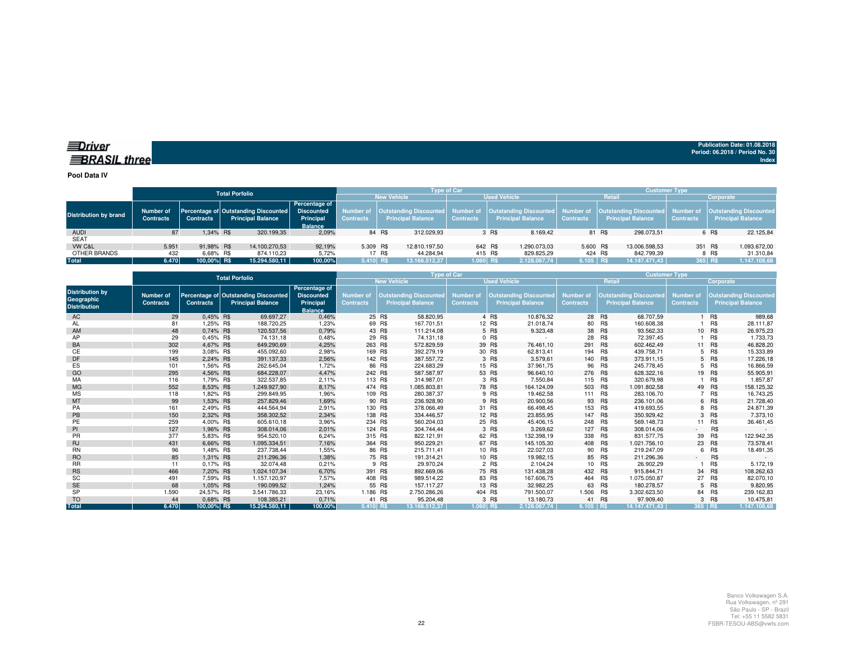#### *<u>IDriver</u>* **BRASIL** three

**Publication Date: 01.08.2018Period: 06.2018 / Period No. 30 Index**

**Pool Data IV**

|                              |                               |                  | <b>Total Porfolio</b>                                            |                                                                   |                  |                      | <b>Type of Car</b> |                            |                  | <b>Customer Type</b>                                                                                                                       |               |                  |                                                                |  |  |  |
|------------------------------|-------------------------------|------------------|------------------------------------------------------------------|-------------------------------------------------------------------|------------------|----------------------|--------------------|----------------------------|------------------|--------------------------------------------------------------------------------------------------------------------------------------------|---------------|------------------|----------------------------------------------------------------|--|--|--|
|                              |                               |                  |                                                                  |                                                                   |                  | <b>New Vehicle</b>   |                    | <b>Used Vehicle</b>        |                  |                                                                                                                                            | <b>Retail</b> | Corporate        |                                                                |  |  |  |
| <b>Distribution by brand</b> | Number of<br><b>Contracts</b> | <b>Contracts</b> | Percentage of Outstanding Discounted<br><b>Principal Balance</b> | Percentage of<br><b>Discounted</b><br>Principal<br><b>Balance</b> | <b>Contracts</b> | Principal Balance    | <b>Contracts</b>   | <b>Principal Balance</b>   | <b>Contracts</b> | Number of   Outstanding Discounted   Number of   Outstanding Discounted   Number of   Outstanding Discounted  <br><b>Principal Balance</b> |               | <b>Contracts</b> | Number of   Outstanding Discounted<br><b>Principal Balance</b> |  |  |  |
| <b>AUDI</b>                  | 87                            | 1.34% R\$        | 320.199,35                                                       | 2,09%                                                             |                  | 84 R\$<br>312.029,93 |                    | 3 R\$                      | 8.169.42         | 81 R\$                                                                                                                                     | 298.073.51    |                  | 22.125.84<br>6 R\$                                             |  |  |  |
| <b>SEAT</b>                  |                               |                  |                                                                  |                                                                   |                  |                      |                    |                            |                  |                                                                                                                                            |               |                  |                                                                |  |  |  |
| VW C&L                       | 5.951                         | 91.98% R\$       | 14.100.270.53                                                    | 92.19%                                                            | 5.309 R\$        | 12.810.197.50        |                    | 642 R\$<br>1.290.073.03    |                  | 5.600 R\$                                                                                                                                  | 13.006.598.53 |                  | 351 R\$<br>1.093.672,00                                        |  |  |  |
| OTHER BRANDS                 | 432                           | 6.68% R\$        | 874.110.23                                                       | 5.72%                                                             |                  | 17 R\$<br>44.284.94  |                    | 415 R\$<br>829.825.29      |                  | 424 R\$                                                                                                                                    | 842.799.39    |                  | 8 R\$<br>31.310.84                                             |  |  |  |
| Total                        | 6.470                         | 100.00% R\$      | 15.294.580.11                                                    | 100,00%                                                           | 5.410 RS         | 13.166.512.37        |                    | $1.060$ RS<br>2.128.067.74 |                  | $6.105$ RS                                                                                                                                 | 14.147.471.43 | 365 R\$          | 1.147.108,68                                                   |  |  |  |
|                              |                               |                  |                                                                  |                                                                   |                  |                      |                    |                            |                  |                                                                                                                                            |               |                  |                                                                |  |  |  |

|                                                             |                               |                  | <b>Total Porfolio</b>                                            | Type of Car                                                       |                                      |                                                           |                                      |         |                                                           | <b>Customer Type</b>                 |         |                                                           |                                      |            |                                                           |
|-------------------------------------------------------------|-------------------------------|------------------|------------------------------------------------------------------|-------------------------------------------------------------------|--------------------------------------|-----------------------------------------------------------|--------------------------------------|---------|-----------------------------------------------------------|--------------------------------------|---------|-----------------------------------------------------------|--------------------------------------|------------|-----------------------------------------------------------|
|                                                             |                               |                  |                                                                  |                                                                   |                                      | <b>New Vehicle</b>                                        |                                      |         | <b>Used Vehicle</b>                                       |                                      | Retail  |                                                           | Corporate                            |            |                                                           |
| <b>Distribution by</b><br>Geographic<br><b>Distribution</b> | Number of<br><b>Contracts</b> | <b>Contracts</b> | Percentage of Outstanding Discounted<br><b>Principal Balance</b> | Percentage of<br><b>Discounted</b><br>Principal<br><b>Balance</b> | <b>Number of</b><br><b>Contracts</b> | <b>Outstanding Discounted</b><br><b>Principal Balance</b> | <b>Number of</b><br><b>Contracts</b> |         | <b>Outstanding Discounted</b><br><b>Principal Balance</b> | <b>Number of</b><br><b>Contracts</b> |         | <b>Outstanding Discounted</b><br><b>Principal Balance</b> | <b>Number of</b><br><b>Contracts</b> |            | <b>Outstanding Discounted</b><br><b>Principal Balance</b> |
| AC                                                          | 29                            | 0,45% R\$        | 69.697,27                                                        | 0,46%                                                             |                                      | 25 R\$<br>58.820,95                                       |                                      | 4 R\$   | 10.876,32                                                 |                                      | 28 R\$  | 68.707,59                                                 |                                      | 1 R\$      | 989,68                                                    |
| AL                                                          | 81                            | 1,25% R\$        | 188.720,25                                                       | 1,23%                                                             |                                      | 69 R\$<br>167.701,51                                      |                                      | 12 R\$  | 21.018,74                                                 | 80                                   | R\$     | 160.608,38                                                |                                      | R\$        | 28.111,87                                                 |
| AM                                                          | 48                            | 0,74% R\$        | 120.537,56                                                       | 0,79%                                                             |                                      | 43 R\$<br>111.214,08                                      |                                      | 5 R\$   | 9.323,48                                                  |                                      | 38 R\$  | 93.562,33                                                 |                                      | 10 R\$     | 26.975,23                                                 |
| AP                                                          | 29                            | 0.45% R\$        | 74.131.18                                                        | 0,48%                                                             |                                      | 29 R\$<br>74.131.18                                       |                                      | 0 R\$   | ٠.                                                        | 28                                   | R\$     | 72.397,45                                                 |                                      | R\$        | 1.733,73                                                  |
| BA                                                          | 302                           | 4,67% R\$        | 649.290,69                                                       | 4,25%                                                             | 263 R\$                              | 572.829,59                                                |                                      | 39 R\$  | 76.461,10                                                 | 291                                  | R\$     | 602.462,49                                                |                                      | 11 R\$     | 46.828,20                                                 |
| СE                                                          | 199                           | 3,08% R\$        | 455.092,60                                                       | 2,98%                                                             |                                      | 169 R\$<br>392.279,19                                     |                                      | 30 R\$  | 62.813,41                                                 | 194                                  | R\$     | 439.758,71                                                |                                      | 5 R\$      | 15.333,89                                                 |
| DF                                                          | 145                           | 2.24% R\$        | 391.137,33                                                       | 2,56%                                                             |                                      | 142 R\$<br>387.557,72                                     |                                      | 3 R\$   | 3.579,61                                                  | 140 R\$                              |         | 373.911,15                                                |                                      | 5 R\$      | 17.226,18                                                 |
| <b>ES</b>                                                   | 101                           | 1.56% R\$        | 262.645.04                                                       | 1.72%                                                             |                                      | 86 R\$<br>224.683,29                                      |                                      | 15 R\$  | 37.961,75                                                 | 96                                   | R\$     | 245.778,45                                                |                                      | 5 R\$      | 16.866,59                                                 |
| GO                                                          | 295                           | 4,56% R\$        | 684.228.07                                                       | 4,47%                                                             | 242 R\$                              | 587.587,97                                                |                                      | 53 R\$  | 96.640,10                                                 | 276 R\$                              |         | 628.322,16                                                |                                      | 19 R\$     | 55.905,91                                                 |
| MA                                                          | 116                           | 1,79% R\$        | 322.537.85                                                       | 2,11%                                                             | 113 R\$                              | 314.987,01                                                |                                      | 3 R\$   | 7.550,84                                                  | 115 R\$                              |         | 320.679,98                                                |                                      | <b>R\$</b> | 1.857,87                                                  |
| <b>MG</b>                                                   | 552                           | 8.53% R\$        | 1.249.927,90                                                     | 8,17%                                                             | 474 R\$                              | 1.085.803.81                                              |                                      | 78 R\$  | 164.124.09                                                | 503 R\$                              |         | 1.091.802.58                                              |                                      | 49 R\$     | 158.125,32                                                |
| <b>MS</b>                                                   | 118                           | 1,82% R\$        | 299.849,95                                                       | 1,96%                                                             |                                      | 280.387,37<br>109 R\$                                     |                                      | 9 R\$   | 19.462,58                                                 | 111 R\$                              |         | 283.106,70                                                |                                      | 7 R\$      | 16.743,25                                                 |
| MT                                                          | 99                            | 1,53% R\$        | 257.829,46                                                       | 1,69%                                                             |                                      | 90 R\$<br>236.928,90                                      |                                      | 9 R\$   | 20.900,56                                                 |                                      | 93 R\$  | 236.101,06                                                |                                      | 6 R\$      | 21.728,40                                                 |
| PA                                                          | 161                           | 2,49% R\$        | 444.564.94                                                       | 2,91%                                                             |                                      | 130 R\$<br>378.066,49                                     |                                      | 31 R\$  | 66.498,45                                                 | 153                                  | R\$     | 419.693,55                                                |                                      | 8 R\$      | 24.871,39                                                 |
| PB                                                          | 150                           | 2,32% R\$        | 358.302,52                                                       | 2,34%                                                             |                                      | 138 R\$<br>334.446,57                                     |                                      | 12 R\$  | 23.855,95                                                 |                                      | 147 R\$ | 350.929,42                                                |                                      | 3 R\$      | 7.373,10                                                  |
| PE                                                          | 259                           | 4,00% R\$        | 605.610,18                                                       | 3,96%                                                             | 234 R\$                              | 560.204,03                                                |                                      | 25 R\$  | 45.406,15                                                 | 248 R\$                              |         | 569.148,73                                                |                                      | 11 R\$     | 36.461,45                                                 |
| PI                                                          | 127                           | 1.96% R\$        | 308.014.06                                                       | 2,01%                                                             |                                      | 124 R\$<br>304.744.44                                     |                                      | 3 R\$   | 3.269,62                                                  | 127 R\$                              |         | 308.014.06                                                | . .                                  | R\$        |                                                           |
| <b>PR</b>                                                   | 377                           | 5.83% R\$        | 954.520.10                                                       | 6.24%                                                             | 315 R\$                              | 822.121.91                                                |                                      | 62 R\$  | 132.398,19                                                | 338                                  | R\$     | 831.577,75                                                | 39                                   | R\$        | 122.942,35                                                |
| <b>RJ</b>                                                   | 431                           | 6,66% R\$        | 1.095.334,51                                                     | 7,16%                                                             | 364 R\$                              | 950.229,21                                                |                                      | 67 R\$  | 145.105,30                                                | 408 R\$                              |         | 1.021.756,10                                              | 23                                   | R\$        | 73.578,41                                                 |
| <b>RN</b>                                                   | 96                            | 1,48% R\$        | 237.738,44                                                       | 1,55%                                                             |                                      | 86 R\$<br>215.711,41                                      |                                      | 10 R\$  | 22.027,03                                                 |                                      | 90 R\$  | 219.247,09                                                | 6                                    | R\$        | 18.491,35                                                 |
| <b>RO</b>                                                   | 85                            | 1,31% R\$        | 211.296,36                                                       | 1,38%                                                             |                                      | 75 R\$<br>191.314.21                                      |                                      | 10 R\$  | 19.982,15                                                 |                                      | 85 R\$  | 211.296,36                                                | $\sim$                               | R\$        |                                                           |
| <b>RR</b>                                                   | 11                            | 0.17% R\$        | 32.074,48                                                        | 0,21%                                                             |                                      | 9 R\$<br>29.970,24                                        |                                      | 2 R\$   | 2.104,24                                                  | 10 <sup>1</sup>                      | R\$     | 26.902,29                                                 |                                      | R\$        | 5.172,19                                                  |
| <b>RS</b>                                                   | 466                           | 7,20% R\$        | 1.024.107,34                                                     | 6,70%                                                             | 391 R\$                              | 892.669,06                                                |                                      | 75 R\$  | 131.438,28                                                | 432 R\$                              |         | 915.844,71                                                | 34                                   | R\$        | 108.262,63                                                |
| SC                                                          | 491                           | 7.59% R\$        | 1.157.120,97                                                     | 7,57%                                                             |                                      | 408 R\$<br>989.514,22                                     |                                      | 83 R\$  | 167.606,75                                                | 464 R\$                              |         | 1.075.050,87                                              | 27                                   | R\$        | 82.070,10                                                 |
| <b>SE</b>                                                   | 68                            | 1,05% R\$        | 190.099.52                                                       | 1,24%                                                             |                                      | 55 R\$<br>157.117.27                                      |                                      | 13 R\$  | 32.982,25                                                 |                                      | 63 R\$  | 180.278.57                                                |                                      | 5 R\$      | 9.820,95                                                  |
| <b>SP</b>                                                   | 1.590                         | 24.57% R\$       | 3.541.786.33                                                     | 23,16%                                                            | 1.186 R\$                            | 2.750.286,26                                              |                                      | 404 R\$ | 791.500,07                                                | 1.506 R\$                            |         | 3.302.623,50                                              |                                      | 84 R\$     | 239.162,83                                                |
| <b>TO</b>                                                   | 44                            | 0.68% R\$        | 108.385,21                                                       | 0,71%                                                             |                                      | 41 R\$<br>95.204,48                                       |                                      | 3 R\$   | 13.180,73                                                 |                                      | 41 R\$  | 97.909,40                                                 |                                      | 3 R\$      | 10.475,81                                                 |
| <b>Total</b>                                                | 6.470                         | 100,00% R\$      | 15.294.580.11                                                    | 100.00%                                                           | 5.410 RS                             | 13.166.512.37                                             | 1.060 RS                             |         | 2.128.067.74                                              | $6.105$ RS                           |         | 14.147.471.43                                             | 365 RS                               |            | 1.147.108.68                                              |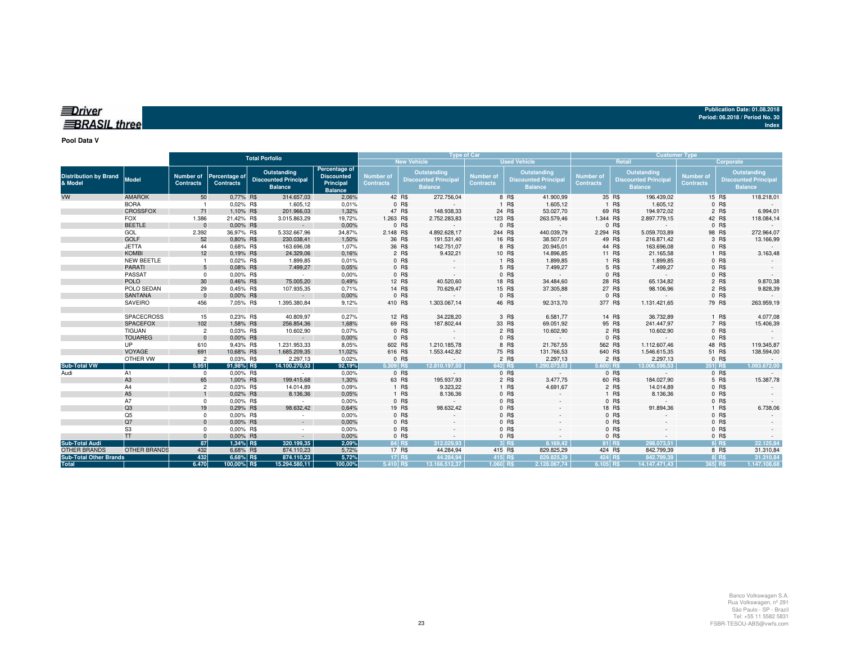| $\equiv$ Driver     |  |  |
|---------------------|--|--|
|                     |  |  |
| <b>BRASIL three</b> |  |  |
|                     |  |  |

**Pool Data V**

|                                         |                     |                                      |                                   | <b>Total Porfolio</b>                                        |                                                                   |                               |                    | <b>Type of Car</b>                                           |                                      |                 |                                                              |                                      |                  | <b>Customer Type</b>                                        |                               |                |                                                                     |
|-----------------------------------------|---------------------|--------------------------------------|-----------------------------------|--------------------------------------------------------------|-------------------------------------------------------------------|-------------------------------|--------------------|--------------------------------------------------------------|--------------------------------------|-----------------|--------------------------------------------------------------|--------------------------------------|------------------|-------------------------------------------------------------|-------------------------------|----------------|---------------------------------------------------------------------|
|                                         |                     |                                      |                                   |                                                              |                                                                   |                               | <b>New Vehicle</b> |                                                              |                                      |                 | <b>Used Vehicle</b>                                          |                                      |                  | Retail                                                      |                               | Corporate      |                                                                     |
| <b>Distribution by Brand</b><br>& Model | <b>Model</b>        | <b>Number of</b><br><b>Contracts</b> | Percentage of<br><b>Contracts</b> | Outstanding<br><b>Discounted Principal</b><br><b>Balance</b> | Percentage of<br><b>Discounted</b><br>Principal<br><b>Balance</b> | Number of<br><b>Contracts</b> |                    | Outstanding<br><b>Discounted Principal</b><br><b>Balance</b> | <b>Number of</b><br><b>Contracts</b> |                 | Outstanding<br><b>Discounted Principal</b><br><b>Balance</b> | <b>Number of</b><br><b>Contracts</b> |                  | Outstanding<br><b>Discounted Principa</b><br><b>Balance</b> | Number of<br><b>Contracts</b> |                | <b>Outstanding</b><br><b>Discounted Principal</b><br><b>Balance</b> |
| <b>VW</b>                               | <b>AMAROK</b>       | 50                                   | 0,77% R\$                         | 314.657,03                                                   | 2,06%                                                             | 42 R\$                        |                    | 272.756,04                                                   |                                      | 8 R\$           | 41.900,99                                                    |                                      | 35 R\$           | 196.439,02                                                  |                               | 15 R\$         | 118.218,01                                                          |
|                                         | <b>BORA</b>         |                                      | 0,02% R\$                         | 1.605,12                                                     | 0,01%                                                             |                               | 0 R\$              | $\sim$                                                       |                                      | 1 R\$           | 1.605,12                                                     |                                      | 1 R\$            | 1.605,12                                                    |                               | 0 R\$          |                                                                     |
|                                         | <b>CROSSFOX</b>     | 71                                   | 1,10% R\$                         | 201.966,03                                                   | 1,32%                                                             | 47 R\$                        |                    | 148.938,33                                                   |                                      | 24 R\$          | 53.027,70                                                    |                                      | 69 R\$           | 194.972,02                                                  |                               | 2 R\$          | 6.994,01                                                            |
|                                         | <b>FOX</b>          | 1.386                                | 21,42% R\$                        | 3.015.863,29                                                 | 19,72%                                                            | 1.263 R\$                     |                    | 2.752.283,83                                                 |                                      | 123 R\$         | 263.579,46                                                   | 1.344 R\$                            |                  | 2.897.779,15                                                |                               | 42 R\$         | 118.084,14                                                          |
|                                         | <b>BEETLE</b>       | $\Omega$                             | 0.00% R\$                         | $\sim$                                                       | 0,00%                                                             |                               | 0 R\$              | $\sim$                                                       |                                      | 0 R\$           | $\sim$                                                       |                                      | 0 R\$            | $\sim$                                                      |                               | 0 R\$          |                                                                     |
|                                         | GOL<br><b>GOLF</b>  | 2.392<br>52                          | 36,97% R\$                        | 5.332.667,96                                                 | 34,87%                                                            | 2.148 R\$                     |                    | 4.892.628,17                                                 |                                      | 244 R\$         | 440.039,79                                                   | 2.294 R\$                            |                  | 5.059.703,89                                                |                               | 98 R\$         | 272.964,07                                                          |
|                                         | <b>JETTA</b>        | 44                                   | 0,80% R\$                         | 230.038,41                                                   | 1,50%<br>1.07%                                                    | 36 R\$<br>36 R\$              |                    | 191.531,40<br>142.751,07                                     |                                      | 16 R\$          | 38.507,01                                                    |                                      | 49 R\$<br>44 R\$ | 216.871,42                                                  |                               | 3 R\$          | 13.166,99                                                           |
|                                         | <b>KOMBI</b>        | 12                                   | 0.68% R\$<br>0,19% R\$            | 163.696,08<br>24.329,06                                      | 0,16%                                                             |                               | 2 R\$              | 9.432,21                                                     |                                      | 8 R\$<br>10 R\$ | 20.945,01<br>14.896,85                                       |                                      | 11 R\$           | 163.696,08<br>21.165,58                                     |                               | 0 R\$<br>1 R\$ | 3.163,48                                                            |
|                                         | NEW BEETLE          |                                      | 0,02% R\$                         | 1.899,85                                                     | 0,01%                                                             |                               | 0 R\$              |                                                              |                                      | 1 R\$           | 1.899,85                                                     |                                      | 1 R\$            | 1.899,85                                                    |                               | $0$ R\$        |                                                                     |
|                                         | <b>PARATI</b>       | 5                                    | 0.08% R\$                         | 7.499,27                                                     | 0,05%                                                             |                               | 0 R\$              |                                                              |                                      | 5 R\$           | 7.499,27                                                     |                                      | 5 R\$            | 7.499,27                                                    |                               | 0 R\$          |                                                                     |
|                                         | <b>PASSAT</b>       | $^{\circ}$                           | 0.00% R\$                         | $\sim$                                                       | 0,00%                                                             |                               | 0 R\$              |                                                              |                                      | 0 R\$           |                                                              |                                      | 0 R\$            |                                                             |                               | 0 R\$          |                                                                     |
|                                         | <b>POLO</b>         | 30                                   | 0.46% R\$                         | 75.005,20                                                    | 0,49%                                                             | 12 R\$                        |                    | 40.520,60                                                    |                                      | 18 R\$          | 34.484,60                                                    |                                      | 28 R\$           | 65.134,82                                                   |                               | 2 R\$          | 9.870,38                                                            |
|                                         | POLO SEDAN          | 29                                   | 0.45% R\$                         | 107.935,35                                                   | 0,71%                                                             | 14 R\$                        |                    | 70.629,47                                                    |                                      | 15 R\$          | 37.305,88                                                    |                                      | 27 R\$           | 98.106,96                                                   |                               | 2 R\$          | 9.828,39                                                            |
|                                         | <b>SANTANA</b>      | $\mathbf{0}$                         | 0,00% R\$                         | $\sim$                                                       | 0,00%                                                             |                               | 0 R\$              |                                                              |                                      | 0 R\$           |                                                              |                                      | 0 R\$            | $\overline{\phantom{a}}$                                    |                               | 0 R\$          |                                                                     |
|                                         | SAVEIRO             | 456                                  | 7,05% R\$                         | 1.395.380,84                                                 | 9,12%                                                             | 410 R\$                       |                    | 1.303.067,14                                                 |                                      | 46 R\$          | 92.313,70                                                    | 377 R\$                              |                  | 1.131.421,65                                                |                               | 79 R\$         | 263.959,19                                                          |
|                                         |                     |                                      |                                   |                                                              |                                                                   |                               |                    |                                                              |                                      |                 |                                                              |                                      |                  |                                                             |                               |                |                                                                     |
|                                         | <b>SPACECROSS</b>   | 15                                   | 0.23% R\$                         | 40.809.97                                                    | 0,27%                                                             | 12 R\$                        |                    | 34.228,20                                                    |                                      | 3 R\$           | 6.581,77                                                     |                                      | 14 R\$           | 36.732,89                                                   |                               | 1 R\$          | 4.077,08                                                            |
|                                         | <b>SPACEFOX</b>     | 102                                  | 1,58% R\$                         | 256.854,36                                                   | 1,68%                                                             | 69 R\$                        |                    | 187.802,44                                                   |                                      | 33 R\$          | 69.051,92                                                    |                                      | 95 R\$           | 241.447,97                                                  |                               | 7 R\$          | 15.406,39                                                           |
|                                         | <b>TIGUAN</b>       | $\overline{2}$                       | 0.03% R\$                         | 10.602,90                                                    | 0,07%                                                             |                               | 0 R\$              |                                                              |                                      | 2 R\$           | 10.602,90                                                    |                                      | 2 R\$            | 10.602,90                                                   |                               | $0$ R\$        |                                                                     |
|                                         | <b>TOUAREG</b>      | $\Omega$                             | 0,00% R\$                         | $\sim$                                                       | 0,00%                                                             |                               | 0 R\$              |                                                              |                                      | 0 R\$           |                                                              |                                      | 0 R\$            |                                                             |                               | 0 R\$          |                                                                     |
|                                         | <b>UP</b>           | 610                                  | 9,43% R\$                         | 1.231.953,33                                                 | 8,05%                                                             | 602 R\$                       |                    | 1.210.185,78                                                 |                                      | 8 R\$           | 21.767,55                                                    | 562 R\$                              |                  | 1.112.607,46                                                |                               | 48 R\$         | 119.345,87                                                          |
|                                         | VOYAGE              | 691                                  | 10,68% R\$                        | 1.685.209,35                                                 | 11,02%                                                            | 616 R\$                       |                    | 1.553.442,82                                                 |                                      | 75 R\$          | 131.766,53                                                   | 640 R\$                              |                  | 1.546.615,35                                                |                               | 51 R\$         | 138.594,00                                                          |
|                                         | OTHER VW            | $\overline{2}$                       | 0,03% R\$                         | 2.297,13                                                     | 0,02%                                                             |                               | 0 R\$              |                                                              |                                      | 2 R\$           | 2.297,13                                                     |                                      | 2 R\$            | 2.297,13                                                    |                               | 0 R\$          |                                                                     |
| <b>Sub-Total VW</b>                     |                     | 5.951                                | 91,98% R\$                        | 14.100.270,53                                                | 92,19%                                                            | 5.309 R\$                     |                    | 12.810.197.50                                                |                                      | 642 R\$         | 1.290.073.03                                                 | 5.600 R\$                            |                  | 13.006.598.53                                               | 351 R\$                       |                | 1.093.672,00                                                        |
| Audi                                    | A1                  | $^{\circ}$                           | 0.00% R\$                         | $\sim$                                                       | 0,00%                                                             |                               | 0 R\$              |                                                              |                                      | 0 R\$           |                                                              |                                      | 0 R\$            | $\sim$                                                      |                               | 0 R\$          |                                                                     |
|                                         | A <sub>3</sub>      | 65                                   | 1,00% R\$                         | 199.415,68                                                   | 1,30%                                                             | 63 R\$                        |                    | 195.937,93                                                   |                                      | 2 R\$           | 3.477,75                                                     |                                      | 60 R\$           | 184.027,90                                                  |                               | 5 R\$          | 15.387,78                                                           |
|                                         | A4                  | $\overline{2}$                       | 0.03% R\$                         | 14.014,89                                                    | 0,09%                                                             |                               | 1 R\$              | 9.323,22                                                     |                                      | 1 R\$           | 4.691,67                                                     |                                      | 2 R\$            | 14.014,89                                                   |                               | 0 R\$          |                                                                     |
|                                         | A <sub>5</sub>      |                                      | 0.02% R\$                         | 8.136,36                                                     | 0.05%                                                             |                               | 1 R\$              | 8.136,36                                                     |                                      | 0 R\$           |                                                              |                                      | 1 R\$            | 8.136,36                                                    |                               | 0 R\$          |                                                                     |
|                                         | A7                  | $\Omega$                             | 0,00% R\$                         | $\sim$                                                       | 0,00%                                                             |                               | 0 R\$              |                                                              |                                      | 0 R\$           |                                                              |                                      | 0 R\$            |                                                             |                               | $0$ R\$        |                                                                     |
|                                         | Q3                  | 19                                   | 0.29% R\$                         | 98.632,42                                                    | 0,64%                                                             |                               | 19 R\$             | 98.632,42                                                    |                                      | 0 R\$           |                                                              |                                      | 18 R\$           | 91.894,36                                                   |                               | 1 R\$          | 6.738,06                                                            |
|                                         | Q <sub>5</sub>      | $\Omega$                             | 0.00% R\$                         | $\sim$                                                       | 0,00%                                                             |                               | 0 R\$              |                                                              |                                      | 0 R\$           |                                                              |                                      | 0 R\$            |                                                             |                               | 0 R\$          |                                                                     |
|                                         | Q7                  | $\Omega$                             | 0.00% R\$                         | $\sim$                                                       | 0.00%                                                             |                               | 0 R\$              |                                                              |                                      | 0 R\$           |                                                              |                                      | 0 R\$            |                                                             |                               | 0 R\$          |                                                                     |
|                                         | S <sub>3</sub>      | $\Omega$                             | 0.00% R\$                         | $\sim$                                                       | 0,00%                                                             |                               | 0 R\$              |                                                              |                                      | 0 R\$           |                                                              |                                      | 0 R\$            |                                                             |                               | 0 R\$          |                                                                     |
|                                         | <b>TT</b>           | $\Omega$                             | 0.00% R\$                         | $\sim$                                                       | 0,00%                                                             |                               | 0 R\$              |                                                              |                                      | 0 R\$           |                                                              |                                      | 0 R\$            |                                                             |                               | 0 R\$          |                                                                     |
| <b>Sub-Total Audi</b>                   |                     | 87                                   | 1,34% R\$                         | 320.199,35                                                   | 2,09%                                                             | 84 R\$                        |                    | 312.029.93                                                   |                                      | $3$ R\$         | 8.169,42                                                     |                                      | 81 R\$           | 298.073,51                                                  |                               | 6 R\$          | 22.125,84                                                           |
| <b>OTHER BRANDS</b>                     | <b>OTHER BRANDS</b> | 432                                  | 6,68% R\$                         | 874.110,23                                                   | 5,72%                                                             | 17 R\$                        |                    | 44.284,94                                                    |                                      | 415 R\$         | 829.825,29                                                   | 424 R\$                              |                  | 842.799,39                                                  |                               | 8 R\$          | 31.310,84                                                           |
| <b>Sub-Total Other Brands</b>           |                     | 432                                  | 6,68% R\$                         | 874.110,23                                                   | 5,72%                                                             | 17 R\$                        |                    | 44.284.94                                                    |                                      | 415 R\$         | 829.825.29                                                   | 424 RS                               |                  | 842.799.39                                                  |                               | 8 R\$          | 31.310.84                                                           |
| <b>Total</b>                            |                     | 6.470                                | 100,00% R\$                       | 15.294.580,11                                                | 100,00%                                                           | 5.410 R\$                     |                    | 13.166.512.37                                                | 1.060 R\$                            |                 | 2.128.067.74                                                 | 6.105 R\$                            |                  | 14.147.471,43                                               | 365 R\$                       |                | 1.147.108,68                                                        |

**Publication Date: 01.08.2018 Period: 06.2018 / Period No. 30**

**Index**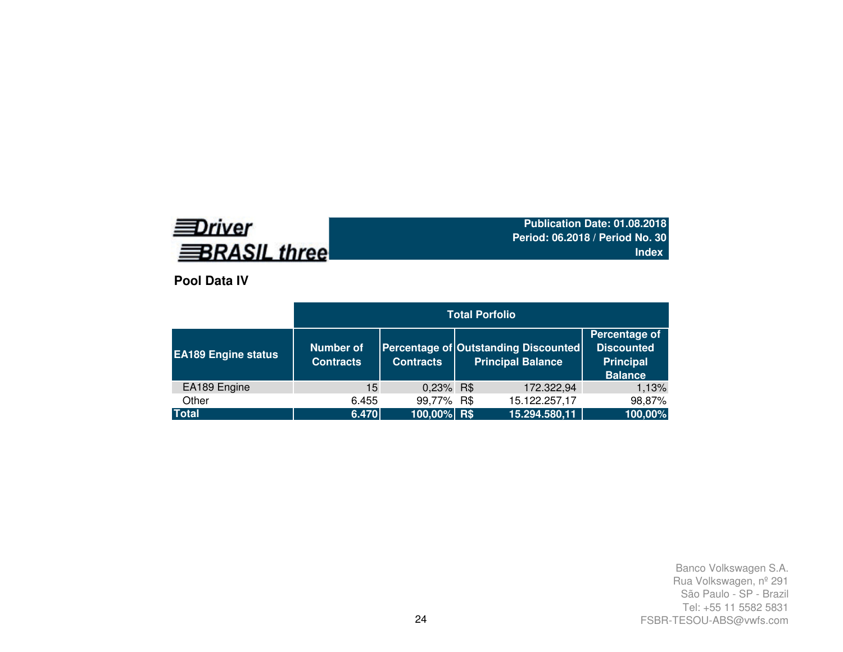# **EDriver BRASIL three**

**Publication Date: 01.08.2018 Period: 06.2018 / Period No. 30Index**

**Pool Data IV**

|                            | <b>Total Porfolio</b>                |                  |  |                                                                  |                                                                          |  |  |  |  |
|----------------------------|--------------------------------------|------------------|--|------------------------------------------------------------------|--------------------------------------------------------------------------|--|--|--|--|
| <b>EA189 Engine status</b> | <b>Number of</b><br><b>Contracts</b> | <b>Contracts</b> |  | Percentage of Outstanding Discounted<br><b>Principal Balance</b> | Percentage of<br><b>Discounted</b><br><b>Principal</b><br><b>Balance</b> |  |  |  |  |
| EA189 Engine               | 15                                   | 0,23% R\$        |  | 172.322,94                                                       | 1,13%                                                                    |  |  |  |  |
| Other                      | 6.455                                | 99,77% R\$       |  | 15.122.257,17                                                    | 98,87%                                                                   |  |  |  |  |
| <b>Total</b>               | 6.470                                | 100,00% R\$      |  | 15.294.580,11                                                    | 100,00%                                                                  |  |  |  |  |